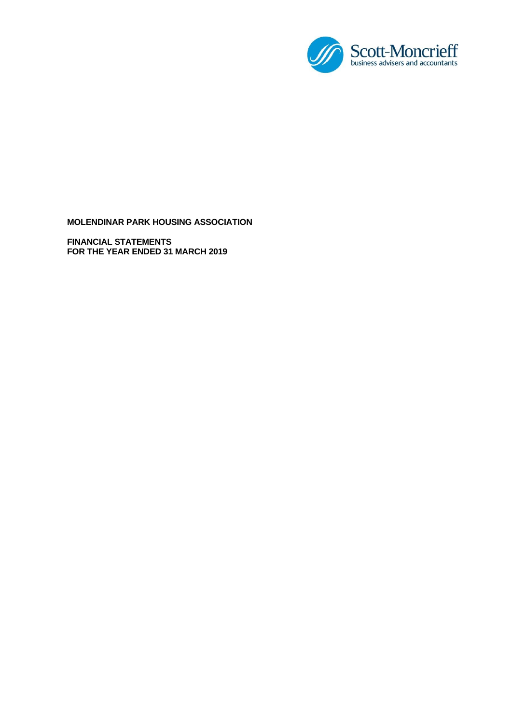

**FINANCIAL STATEMENTS FOR THE YEAR ENDED 31 MARCH 2019**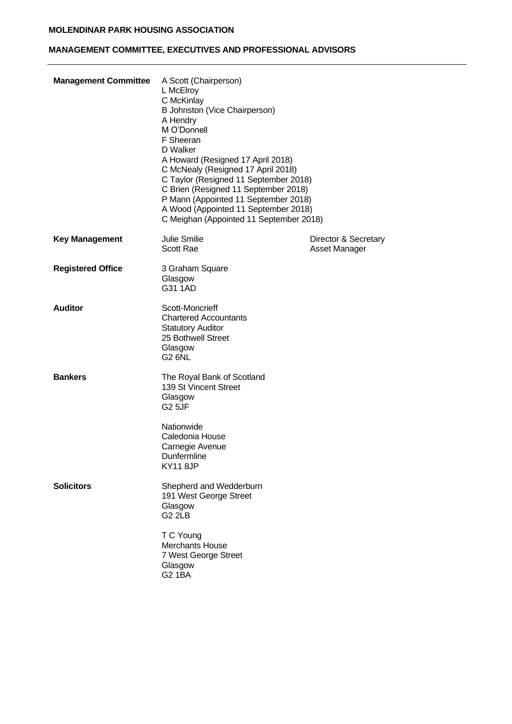# **MANAGEMENT COMMITTEE, EXECUTIVES AND PROFESSIONAL ADVISORS**

| <b>Management Committee</b> | A Scott (Chairperson)<br>L McElroy<br>C McKinlay<br>B Johnston (Vice Chairperson)<br>A Hendry<br>M O'Donnell<br>F Sheeran<br>D Walker<br>A Howard (Resigned 17 April 2018)<br>C McNealy (Resigned 17 April 2018)<br>C Taylor (Resigned 11 September 2018)<br>C Brien (Resigned 11 September 2018)<br>P Mann (Appointed 11 September 2018)<br>A Wood (Appointed 11 September 2018)<br>C Meighan (Appointed 11 September 2018) |                                       |
|-----------------------------|------------------------------------------------------------------------------------------------------------------------------------------------------------------------------------------------------------------------------------------------------------------------------------------------------------------------------------------------------------------------------------------------------------------------------|---------------------------------------|
| <b>Key Management</b>       | Julie Smilie<br><b>Scott Rae</b>                                                                                                                                                                                                                                                                                                                                                                                             | Director & Secretary<br>Asset Manager |
| <b>Registered Office</b>    | 3 Graham Square<br>Glasgow<br>G31 1AD                                                                                                                                                                                                                                                                                                                                                                                        |                                       |
| <b>Auditor</b>              | Scott-Moncrieff<br><b>Chartered Accountants</b><br><b>Statutory Auditor</b><br>25 Bothwell Street<br>Glasgow<br><b>G2 6NL</b>                                                                                                                                                                                                                                                                                                |                                       |
| <b>Bankers</b>              | The Royal Bank of Scotland<br>139 St Vincent Street<br>Glasgow<br>G <sub>2</sub> 5JF<br>Nationwide                                                                                                                                                                                                                                                                                                                           |                                       |
|                             | Caledonia House<br>Carnegie Avenue<br>Dunfermline<br><b>KY11 8JP</b>                                                                                                                                                                                                                                                                                                                                                         |                                       |
| <b>Solicitors</b>           | Shepherd and Wedderburn<br>191 West George Street<br>Glasgow<br>G <sub>2</sub> 2LB                                                                                                                                                                                                                                                                                                                                           |                                       |
|                             | T C Young<br><b>Merchants House</b><br>7 West George Street<br>Glasgow<br><b>G2 1BA</b>                                                                                                                                                                                                                                                                                                                                      |                                       |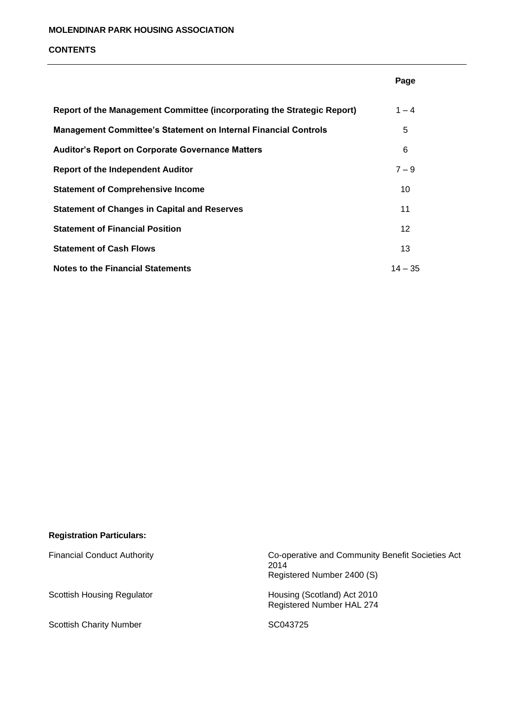#### **CONTENTS**

|                                                                         | Page      |
|-------------------------------------------------------------------------|-----------|
| Report of the Management Committee (incorporating the Strategic Report) | $1 - 4$   |
| <b>Management Committee's Statement on Internal Financial Controls</b>  | 5         |
| <b>Auditor's Report on Corporate Governance Matters</b>                 | 6         |
| Report of the Independent Auditor                                       | $7 - 9$   |
| <b>Statement of Comprehensive Income</b>                                | 10        |
| <b>Statement of Changes in Capital and Reserves</b>                     | 11        |
| <b>Statement of Financial Position</b>                                  | 12        |
| <b>Statement of Cash Flows</b>                                          | 13        |
| Notes to the Financial Statements                                       | $14 - 35$ |

| <b>Registration Particulars:</b> |  |
|----------------------------------|--|
|                                  |  |

Scottish Charity Number SC043725

Financial Conduct Authority **Co-operative and Community Benefit Societies Act** 2014 Registered Number 2400 (S)

Scottish Housing Regulator **Housing (Scotland)** Act 2010 Registered Number HAL 274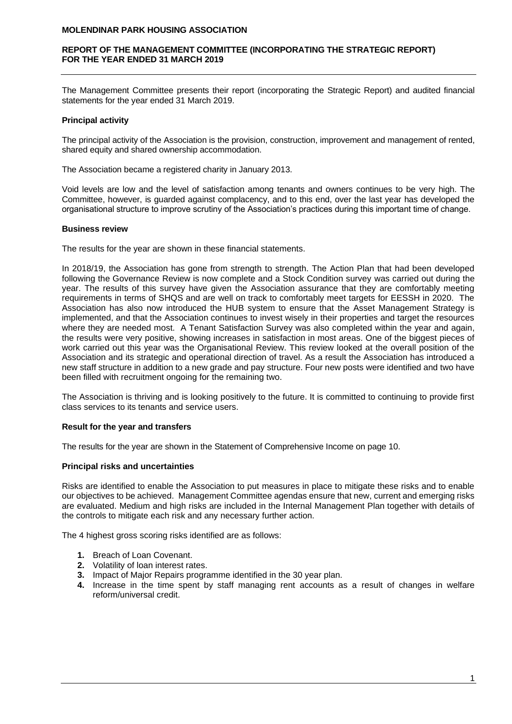### **REPORT OF THE MANAGEMENT COMMITTEE (INCORPORATING THE STRATEGIC REPORT) FOR THE YEAR ENDED 31 MARCH 2019**

The Management Committee presents their report (incorporating the Strategic Report) and audited financial statements for the year ended 31 March 2019.

### **Principal activity**

The principal activity of the Association is the provision, construction, improvement and management of rented, shared equity and shared ownership accommodation.

The Association became a registered charity in January 2013.

Void levels are low and the level of satisfaction among tenants and owners continues to be very high. The Committee, however, is guarded against complacency, and to this end, over the last year has developed the organisational structure to improve scrutiny of the Association's practices during this important time of change.

#### **Business review**

The results for the year are shown in these financial statements.

In 2018/19, the Association has gone from strength to strength. The Action Plan that had been developed following the Governance Review is now complete and a Stock Condition survey was carried out during the year. The results of this survey have given the Association assurance that they are comfortably meeting requirements in terms of SHQS and are well on track to comfortably meet targets for EESSH in 2020. The Association has also now introduced the HUB system to ensure that the Asset Management Strategy is implemented, and that the Association continues to invest wisely in their properties and target the resources where they are needed most. A Tenant Satisfaction Survey was also completed within the year and again, the results were very positive, showing increases in satisfaction in most areas. One of the biggest pieces of work carried out this year was the Organisational Review. This review looked at the overall position of the Association and its strategic and operational direction of travel. As a result the Association has introduced a new staff structure in addition to a new grade and pay structure. Four new posts were identified and two have been filled with recruitment ongoing for the remaining two.

The Association is thriving and is looking positively to the future. It is committed to continuing to provide first class services to its tenants and service users.

#### **Result for the year and transfers**

The results for the year are shown in the Statement of Comprehensive Income on page 10.

#### **Principal risks and uncertainties**

Risks are identified to enable the Association to put measures in place to mitigate these risks and to enable our objectives to be achieved. Management Committee agendas ensure that new, current and emerging risks are evaluated. Medium and high risks are included in the Internal Management Plan together with details of the controls to mitigate each risk and any necessary further action.

The 4 highest gross scoring risks identified are as follows:

- **1.** Breach of Loan Covenant.
- **2.** Volatility of loan interest rates.
- **3.** Impact of Major Repairs programme identified in the 30 year plan.
- **4.** Increase in the time spent by staff managing rent accounts as a result of changes in welfare reform/universal credit.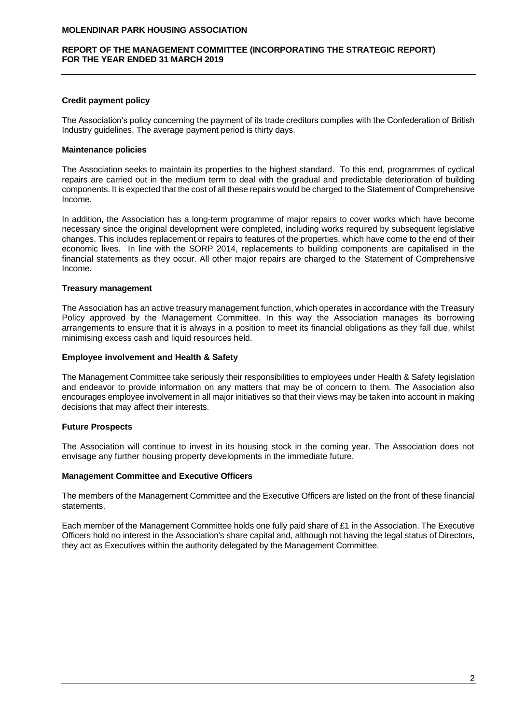#### **REPORT OF THE MANAGEMENT COMMITTEE (INCORPORATING THE STRATEGIC REPORT) FOR THE YEAR ENDED 31 MARCH 2019**

### **Credit payment policy**

The Association's policy concerning the payment of its trade creditors complies with the Confederation of British Industry guidelines. The average payment period is thirty days.

### **Maintenance policies**

The Association seeks to maintain its properties to the highest standard. To this end, programmes of cyclical repairs are carried out in the medium term to deal with the gradual and predictable deterioration of building components. It is expected that the cost of all these repairs would be charged to the Statement of Comprehensive Income.

In addition, the Association has a long-term programme of major repairs to cover works which have become necessary since the original development were completed, including works required by subsequent legislative changes. This includes replacement or repairs to features of the properties, which have come to the end of their economic lives. In line with the SORP 2014, replacements to building components are capitalised in the financial statements as they occur. All other major repairs are charged to the Statement of Comprehensive Income.

### **Treasury management**

The Association has an active treasury management function, which operates in accordance with the Treasury Policy approved by the Management Committee. In this way the Association manages its borrowing arrangements to ensure that it is always in a position to meet its financial obligations as they fall due, whilst minimising excess cash and liquid resources held.

#### **Employee involvement and Health & Safety**

The Management Committee take seriously their responsibilities to employees under Health & Safety legislation and endeavor to provide information on any matters that may be of concern to them. The Association also encourages employee involvement in all major initiatives so that their views may be taken into account in making decisions that may affect their interests.

# **Future Prospects**

The Association will continue to invest in its housing stock in the coming year. The Association does not envisage any further housing property developments in the immediate future.

### **Management Committee and Executive Officers**

The members of the Management Committee and the Executive Officers are listed on the front of these financial statements.

Each member of the Management Committee holds one fully paid share of £1 in the Association. The Executive Officers hold no interest in the Association's share capital and, although not having the legal status of Directors, they act as Executives within the authority delegated by the Management Committee.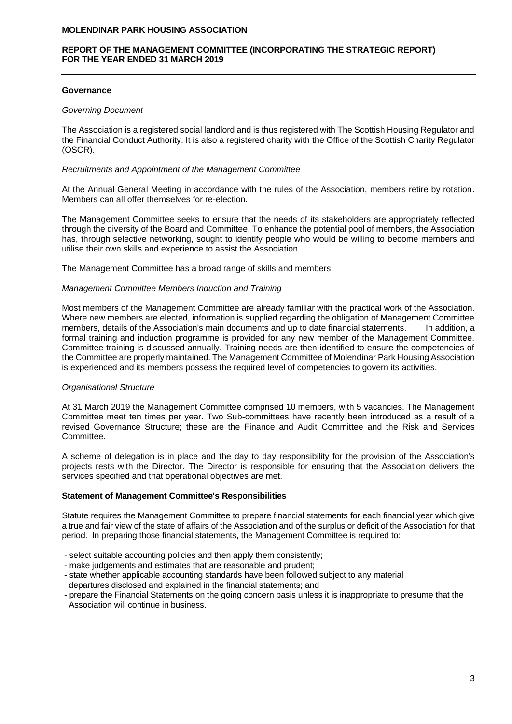### **REPORT OF THE MANAGEMENT COMMITTEE (INCORPORATING THE STRATEGIC REPORT) FOR THE YEAR ENDED 31 MARCH 2019**

### **Governance**

#### *Governing Document*

The Association is a registered social landlord and is thus registered with The Scottish Housing Regulator and the Financial Conduct Authority. It is also a registered charity with the Office of the Scottish Charity Regulator (OSCR).

#### *Recruitments and Appointment of the Management Committee*

At the Annual General Meeting in accordance with the rules of the Association, members retire by rotation. Members can all offer themselves for re-election.

The Management Committee seeks to ensure that the needs of its stakeholders are appropriately reflected through the diversity of the Board and Committee. To enhance the potential pool of members, the Association has, through selective networking, sought to identify people who would be willing to become members and utilise their own skills and experience to assist the Association.

The Management Committee has a broad range of skills and members.

### *Management Committee Members Induction and Training*

Most members of the Management Committee are already familiar with the practical work of the Association. Where new members are elected, information is supplied regarding the obligation of Management Committee members, details of the Association's main documents and up to date financial statements. In addition, a formal training and induction programme is provided for any new member of the Management Committee. Committee training is discussed annually. Training needs are then identified to ensure the competencies of the Committee are properly maintained. The Management Committee of Molendinar Park Housing Association is experienced and its members possess the required level of competencies to govern its activities.

# *Organisational Structure*

At 31 March 2019 the Management Committee comprised 10 members, with 5 vacancies. The Management Committee meet ten times per year. Two Sub-committees have recently been introduced as a result of a revised Governance Structure; these are the Finance and Audit Committee and the Risk and Services Committee.

A scheme of delegation is in place and the day to day responsibility for the provision of the Association's projects rests with the Director. The Director is responsible for ensuring that the Association delivers the services specified and that operational objectives are met.

#### **Statement of Management Committee's Responsibilities**

Statute requires the Management Committee to prepare financial statements for each financial year which give a true and fair view of the state of affairs of the Association and of the surplus or deficit of the Association for that period. In preparing those financial statements, the Management Committee is required to:

- select suitable accounting policies and then apply them consistently;
- make judgements and estimates that are reasonable and prudent;
- state whether applicable accounting standards have been followed subject to any material
- departures disclosed and explained in the financial statements; and
- prepare the Financial Statements on the going concern basis unless it is inappropriate to presume that the Association will continue in business.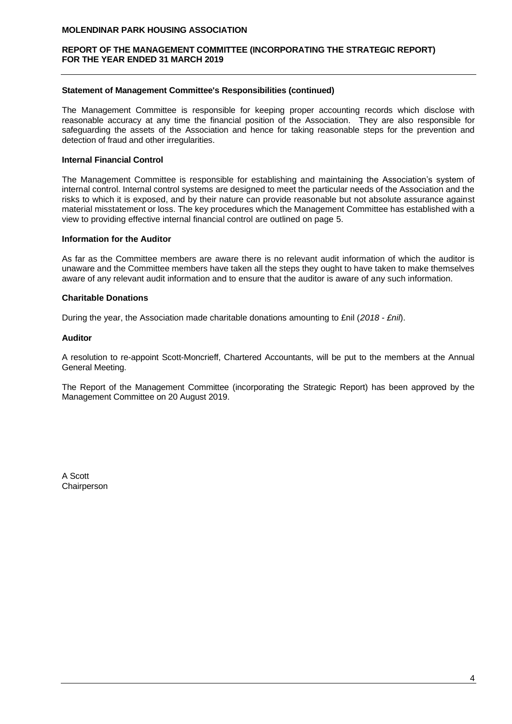### **REPORT OF THE MANAGEMENT COMMITTEE (INCORPORATING THE STRATEGIC REPORT) FOR THE YEAR ENDED 31 MARCH 2019**

### **Statement of Management Committee's Responsibilities (continued)**

The Management Committee is responsible for keeping proper accounting records which disclose with reasonable accuracy at any time the financial position of the Association. They are also responsible for safeguarding the assets of the Association and hence for taking reasonable steps for the prevention and detection of fraud and other irregularities.

### **Internal Financial Control**

The Management Committee is responsible for establishing and maintaining the Association's system of internal control. Internal control systems are designed to meet the particular needs of the Association and the risks to which it is exposed, and by their nature can provide reasonable but not absolute assurance against material misstatement or loss. The key procedures which the Management Committee has established with a view to providing effective internal financial control are outlined on page 5.

### **Information for the Auditor**

As far as the Committee members are aware there is no relevant audit information of which the auditor is unaware and the Committee members have taken all the steps they ought to have taken to make themselves aware of any relevant audit information and to ensure that the auditor is aware of any such information.

### **Charitable Donations**

During the year, the Association made charitable donations amounting to £nil (*2018 - £nil*).

### **Auditor**

A resolution to re-appoint Scott-Moncrieff, Chartered Accountants, will be put to the members at the Annual General Meeting.

The Report of the Management Committee (incorporating the Strategic Report) has been approved by the Management Committee on 20 August 2019.

A Scott Chairperson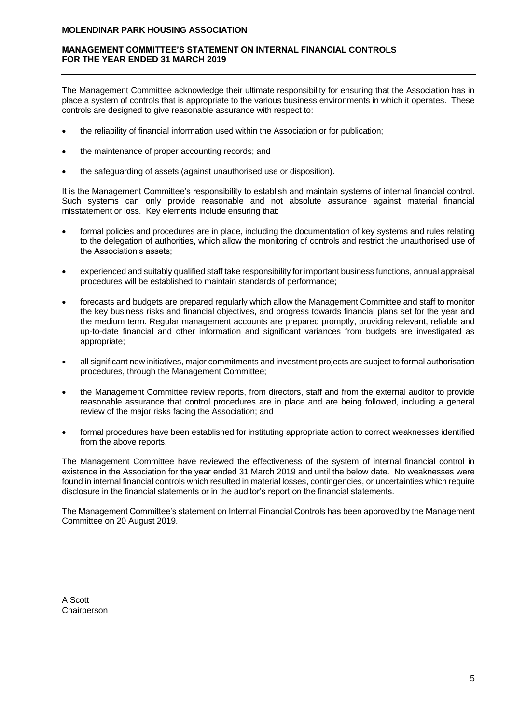### **MANAGEMENT COMMITTEE'S STATEMENT ON INTERNAL FINANCIAL CONTROLS FOR THE YEAR ENDED 31 MARCH 2019**

The Management Committee acknowledge their ultimate responsibility for ensuring that the Association has in place a system of controls that is appropriate to the various business environments in which it operates. These controls are designed to give reasonable assurance with respect to:

- the reliability of financial information used within the Association or for publication;
- the maintenance of proper accounting records; and
- the safeguarding of assets (against unauthorised use or disposition).

It is the Management Committee's responsibility to establish and maintain systems of internal financial control. Such systems can only provide reasonable and not absolute assurance against material financial misstatement or loss. Key elements include ensuring that:

- formal policies and procedures are in place, including the documentation of key systems and rules relating to the delegation of authorities, which allow the monitoring of controls and restrict the unauthorised use of the Association's assets;
- experienced and suitably qualified staff take responsibility for important business functions, annual appraisal procedures will be established to maintain standards of performance;
- forecasts and budgets are prepared regularly which allow the Management Committee and staff to monitor the key business risks and financial objectives, and progress towards financial plans set for the year and the medium term. Regular management accounts are prepared promptly, providing relevant, reliable and up-to-date financial and other information and significant variances from budgets are investigated as appropriate;
- all significant new initiatives, major commitments and investment projects are subject to formal authorisation procedures, through the Management Committee;
- the Management Committee review reports, from directors, staff and from the external auditor to provide reasonable assurance that control procedures are in place and are being followed, including a general review of the major risks facing the Association; and
- formal procedures have been established for instituting appropriate action to correct weaknesses identified from the above reports.

The Management Committee have reviewed the effectiveness of the system of internal financial control in existence in the Association for the year ended 31 March 2019 and until the below date. No weaknesses were found in internal financial controls which resulted in material losses, contingencies, or uncertainties which require disclosure in the financial statements or in the auditor's report on the financial statements.

The Management Committee's statement on Internal Financial Controls has been approved by the Management Committee on 20 August 2019.

A Scott **Chairperson**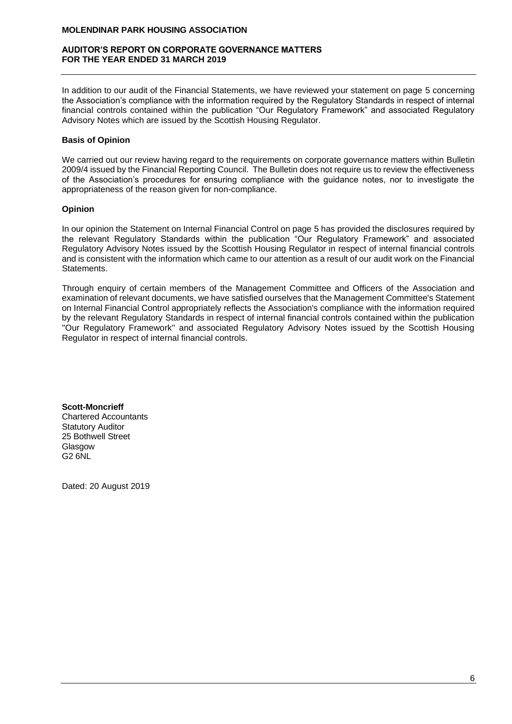#### **AUDITOR'S REPORT ON CORPORATE GOVERNANCE MATTERS FOR THE YEAR ENDED 31 MARCH 2019**

In addition to our audit of the Financial Statements, we have reviewed your statement on page 5 concerning the Association's compliance with the information required by the Regulatory Standards in respect of internal financial controls contained within the publication "Our Regulatory Framework" and associated Regulatory Advisory Notes which are issued by the Scottish Housing Regulator.

### **Basis of Opinion**

We carried out our review having regard to the requirements on corporate governance matters within Bulletin 2009/4 issued by the Financial Reporting Council. The Bulletin does not require us to review the effectiveness of the Association's procedures for ensuring compliance with the guidance notes, nor to investigate the appropriateness of the reason given for non-compliance.

### **Opinion**

In our opinion the Statement on Internal Financial Control on page 5 has provided the disclosures required by the relevant Regulatory Standards within the publication "Our Regulatory Framework" and associated Regulatory Advisory Notes issued by the Scottish Housing Regulator in respect of internal financial controls and is consistent with the information which came to our attention as a result of our audit work on the Financial Statements.

Through enquiry of certain members of the Management Committee and Officers of the Association and examination of relevant documents, we have satisfied ourselves that the Management Committee's Statement on Internal Financial Control appropriately reflects the Association's compliance with the information required by the relevant Regulatory Standards in respect of internal financial controls contained within the publication ''Our Regulatory Framework'' and associated Regulatory Advisory Notes issued by the Scottish Housing Regulator in respect of internal financial controls.

**Scott-Moncrieff** Chartered Accountants Statutory Auditor 25 Bothwell Street Glasgow G2 6NL

Dated: 20 August 2019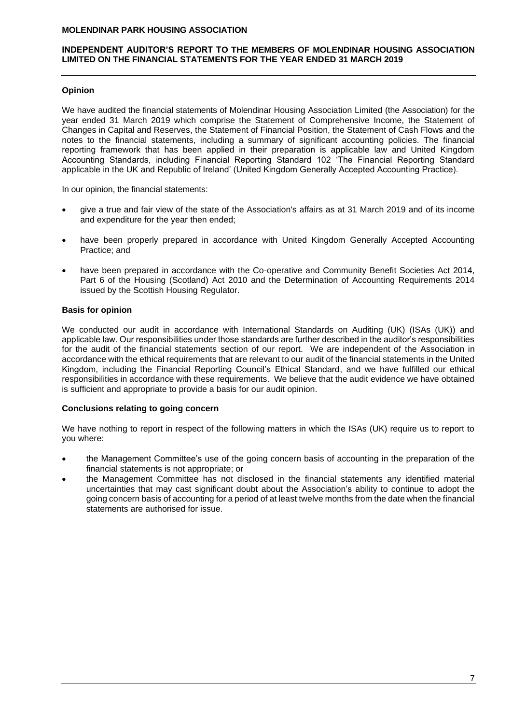### **INDEPENDENT AUDITOR'S REPORT TO THE MEMBERS OF MOLENDINAR HOUSING ASSOCIATION LIMITED ON THE FINANCIAL STATEMENTS FOR THE YEAR ENDED 31 MARCH 2019**

# **Opinion**

We have audited the financial statements of Molendinar Housing Association Limited (the Association) for the year ended 31 March 2019 which comprise the Statement of Comprehensive Income, the Statement of Changes in Capital and Reserves, the Statement of Financial Position, the Statement of Cash Flows and the notes to the financial statements, including a summary of significant accounting policies. The financial reporting framework that has been applied in their preparation is applicable law and United Kingdom Accounting Standards, including Financial Reporting Standard 102 'The Financial Reporting Standard applicable in the UK and Republic of Ireland' (United Kingdom Generally Accepted Accounting Practice).

In our opinion, the financial statements:

- give a true and fair view of the state of the Association's affairs as at 31 March 2019 and of its income and expenditure for the year then ended;
- have been properly prepared in accordance with United Kingdom Generally Accepted Accounting Practice; and
- have been prepared in accordance with the Co-operative and Community Benefit Societies Act 2014, Part 6 of the Housing (Scotland) Act 2010 and the Determination of Accounting Requirements 2014 issued by the Scottish Housing Regulator.

### **Basis for opinion**

We conducted our audit in accordance with International Standards on Auditing (UK) (ISAs (UK)) and applicable law. Our responsibilities under those standards are further described in the auditor's responsibilities for the audit of the financial statements section of our report. We are independent of the Association in accordance with the ethical requirements that are relevant to our audit of the financial statements in the United Kingdom, including the Financial Reporting Council's Ethical Standard, and we have fulfilled our ethical responsibilities in accordance with these requirements. We believe that the audit evidence we have obtained is sufficient and appropriate to provide a basis for our audit opinion.

### **Conclusions relating to going concern**

We have nothing to report in respect of the following matters in which the ISAs (UK) require us to report to you where:

- the Management Committee's use of the going concern basis of accounting in the preparation of the financial statements is not appropriate; or
- the Management Committee has not disclosed in the financial statements any identified material uncertainties that may cast significant doubt about the Association's ability to continue to adopt the going concern basis of accounting for a period of at least twelve months from the date when the financial statements are authorised for issue.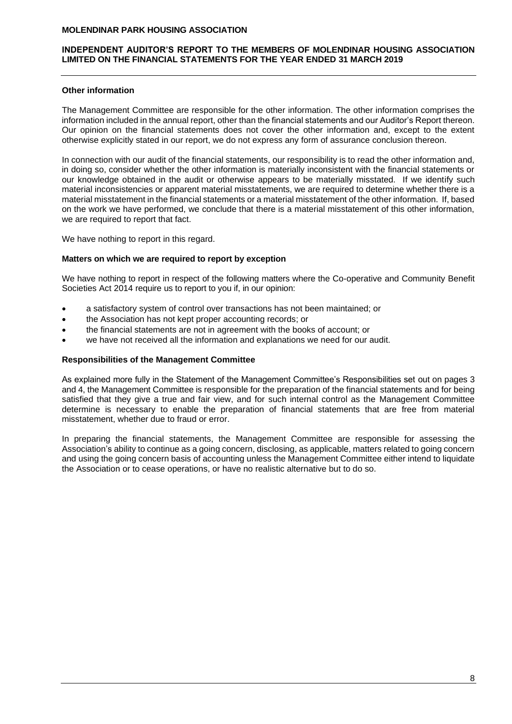### **INDEPENDENT AUDITOR'S REPORT TO THE MEMBERS OF MOLENDINAR HOUSING ASSOCIATION LIMITED ON THE FINANCIAL STATEMENTS FOR THE YEAR ENDED 31 MARCH 2019**

### **Other information**

The Management Committee are responsible for the other information. The other information comprises the information included in the annual report, other than the financial statements and our Auditor's Report thereon. Our opinion on the financial statements does not cover the other information and, except to the extent otherwise explicitly stated in our report, we do not express any form of assurance conclusion thereon.

In connection with our audit of the financial statements, our responsibility is to read the other information and, in doing so, consider whether the other information is materially inconsistent with the financial statements or our knowledge obtained in the audit or otherwise appears to be materially misstated. If we identify such material inconsistencies or apparent material misstatements, we are required to determine whether there is a material misstatement in the financial statements or a material misstatement of the other information. If, based on the work we have performed, we conclude that there is a material misstatement of this other information, we are required to report that fact.

We have nothing to report in this regard.

### **Matters on which we are required to report by exception**

We have nothing to report in respect of the following matters where the Co-operative and Community Benefit Societies Act 2014 require us to report to you if, in our opinion:

- a satisfactory system of control over transactions has not been maintained; or
- the Association has not kept proper accounting records; or
- the financial statements are not in agreement with the books of account; or
- we have not received all the information and explanations we need for our audit.

### **Responsibilities of the Management Committee**

As explained more fully in the Statement of the Management Committee's Responsibilities set out on pages 3 and 4, the Management Committee is responsible for the preparation of the financial statements and for being satisfied that they give a true and fair view, and for such internal control as the Management Committee determine is necessary to enable the preparation of financial statements that are free from material misstatement, whether due to fraud or error.

In preparing the financial statements, the Management Committee are responsible for assessing the Association's ability to continue as a going concern, disclosing, as applicable, matters related to going concern and using the going concern basis of accounting unless the Management Committee either intend to liquidate the Association or to cease operations, or have no realistic alternative but to do so.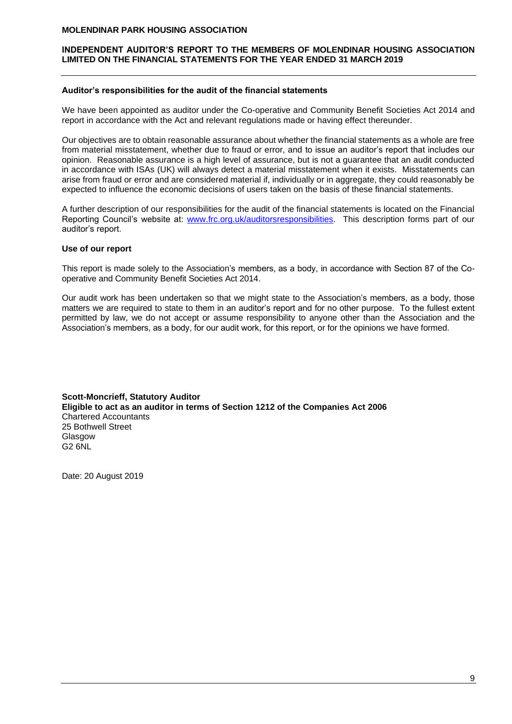#### **INDEPENDENT AUDITOR'S REPORT TO THE MEMBERS OF MOLENDINAR HOUSING ASSOCIATION LIMITED ON THE FINANCIAL STATEMENTS FOR THE YEAR ENDED 31 MARCH 2019**

#### **Auditor's responsibilities for the audit of the financial statements**

We have been appointed as auditor under the Co-operative and Community Benefit Societies Act 2014 and report in accordance with the Act and relevant regulations made or having effect thereunder.

Our objectives are to obtain reasonable assurance about whether the financial statements as a whole are free from material misstatement, whether due to fraud or error, and to issue an auditor's report that includes our opinion. Reasonable assurance is a high level of assurance, but is not a guarantee that an audit conducted in accordance with ISAs (UK) will always detect a material misstatement when it exists. Misstatements can arise from fraud or error and are considered material if, individually or in aggregate, they could reasonably be expected to influence the economic decisions of users taken on the basis of these financial statements.

A further description of our responsibilities for the audit of the financial statements is located on the Financial Reporting Council's website at: [www.frc.org.uk/auditorsresponsibilities.](http://www.frc.org.uk/auditorsresponsibilities) This description forms part of our auditor's report.

#### **Use of our report**

This report is made solely to the Association's members, as a body, in accordance with Section 87 of the Cooperative and Community Benefit Societies Act 2014.

Our audit work has been undertaken so that we might state to the Association's members, as a body, those matters we are required to state to them in an auditor's report and for no other purpose. To the fullest extent permitted by law, we do not accept or assume responsibility to anyone other than the Association and the Association's members, as a body, for our audit work, for this report, or for the opinions we have formed.

**Scott-Moncrieff, Statutory Auditor Eligible to act as an auditor in terms of Section 1212 of the Companies Act 2006** Chartered Accountants 25 Bothwell Street Glasgow G2 6NL

Date: 20 August 2019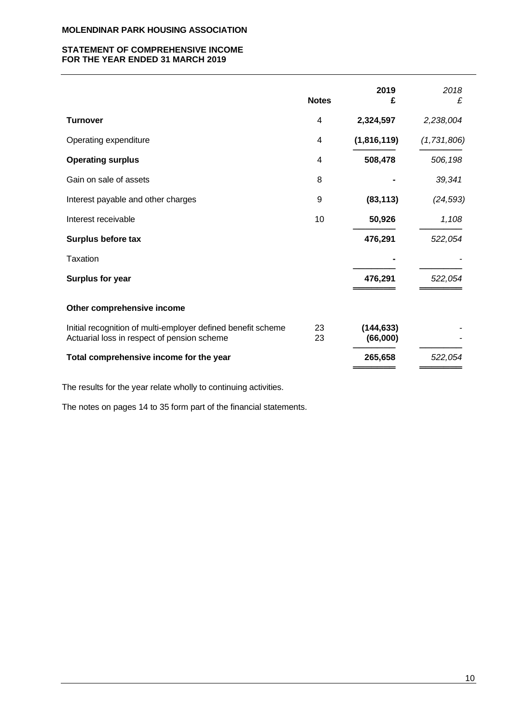### **STATEMENT OF COMPREHENSIVE INCOME FOR THE YEAR ENDED 31 MARCH 2019**

|                                                                                                             | <b>Notes</b> | 2019<br>£              | 2018<br>£   |
|-------------------------------------------------------------------------------------------------------------|--------------|------------------------|-------------|
| <b>Turnover</b>                                                                                             | 4            | 2,324,597              | 2,238,004   |
| Operating expenditure                                                                                       | 4            | (1,816,119)            | (1,731,806) |
| <b>Operating surplus</b>                                                                                    | 4            | 508,478                | 506,198     |
| Gain on sale of assets                                                                                      | 8            |                        | 39,341      |
| Interest payable and other charges                                                                          | 9            | (83, 113)              | (24, 593)   |
| Interest receivable                                                                                         | 10           | 50,926                 | 1,108       |
| Surplus before tax                                                                                          |              | 476,291                | 522,054     |
| <b>Taxation</b>                                                                                             |              |                        |             |
| <b>Surplus for year</b>                                                                                     |              | 476,291                | 522,054     |
| Other comprehensive income                                                                                  |              |                        |             |
| Initial recognition of multi-employer defined benefit scheme<br>Actuarial loss in respect of pension scheme | 23<br>23     | (144, 633)<br>(66,000) |             |
| Total comprehensive income for the year                                                                     |              | 265,658                | 522,054     |

The results for the year relate wholly to continuing activities.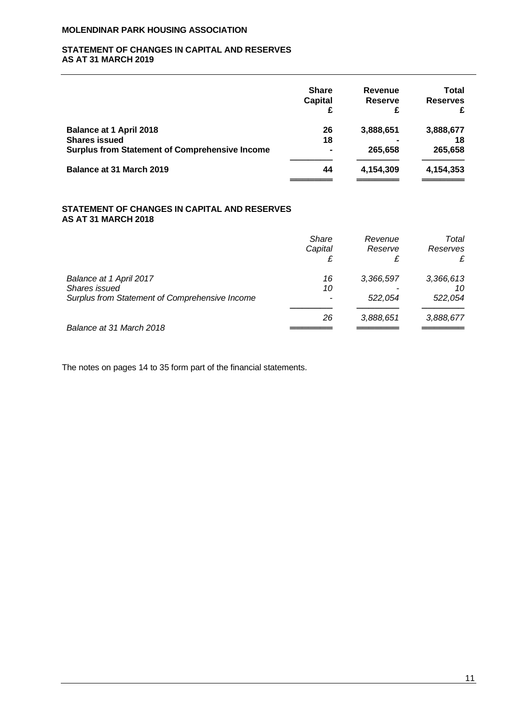### **STATEMENT OF CHANGES IN CAPITAL AND RESERVES AS AT 31 MARCH 2019**

|                                                       | <b>Share</b><br><b>Capital</b><br>£ | Revenue<br><b>Reserve</b><br>£ | Total<br><b>Reserves</b><br>£ |
|-------------------------------------------------------|-------------------------------------|--------------------------------|-------------------------------|
| <b>Balance at 1 April 2018</b>                        | 26                                  | 3,888,651                      | 3,888,677                     |
| <b>Shares issued</b>                                  | 18                                  |                                | 18                            |
| <b>Surplus from Statement of Comprehensive Income</b> | $\blacksquare$                      | 265.658                        | 265,658                       |
| <b>Balance at 31 March 2019</b>                       | 44                                  | 4,154,309                      | 4,154,353                     |
|                                                       |                                     |                                |                               |

### **STATEMENT OF CHANGES IN CAPITAL AND RESERVES AS AT 31 MARCH 2018**

|                                                | <b>Share</b><br>Capital | Revenue<br>Reserve<br>£ | Total<br>Reserves |
|------------------------------------------------|-------------------------|-------------------------|-------------------|
| Balance at 1 April 2017                        | 16                      | 3,366,597               | 3,366,613         |
| Shares issued                                  | 10                      |                         | 10                |
| Surplus from Statement of Comprehensive Income |                         | 522.054                 | 522,054           |
|                                                | 26                      | 3,888,651               | 3,888,677         |
| Balance at 31 March 2018                       |                         |                         |                   |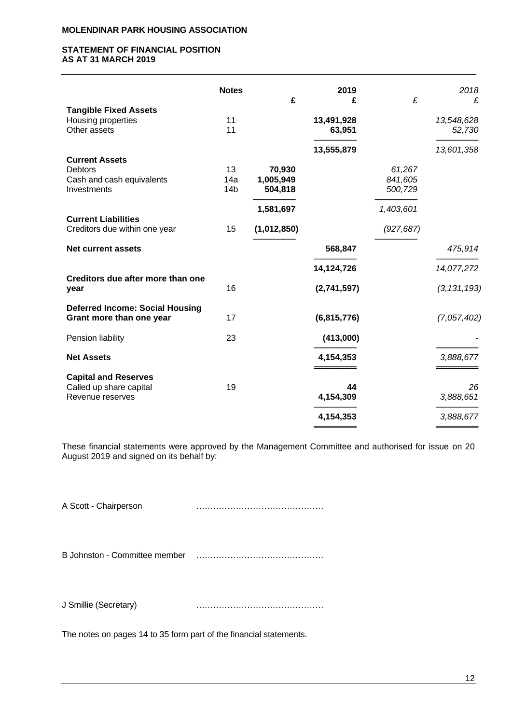### **STATEMENT OF FINANCIAL POSITION AS AT 31 MARCH 2019**

|                                        | <b>Notes</b>    | £           | 2019<br>£   | £          | 2018<br>£     |
|----------------------------------------|-----------------|-------------|-------------|------------|---------------|
| <b>Tangible Fixed Assets</b>           |                 |             |             |            |               |
| Housing properties                     | 11              |             | 13,491,928  |            | 13,548,628    |
| Other assets                           | 11              |             | 63,951      |            | 52,730        |
|                                        |                 |             | 13,555,879  |            | 13,601,358    |
| <b>Current Assets</b>                  |                 |             |             |            |               |
| <b>Debtors</b>                         | 13              | 70,930      |             | 61,267     |               |
| Cash and cash equivalents              | 14a             | 1,005,949   |             | 841,605    |               |
| Investments                            | 14 <sub>b</sub> | 504,818     |             | 500,729    |               |
|                                        |                 | 1,581,697   |             | 1,403,601  |               |
| <b>Current Liabilities</b>             |                 |             |             |            |               |
| Creditors due within one year          | 15              | (1,012,850) |             | (927, 687) |               |
| <b>Net current assets</b>              |                 |             | 568,847     |            | 475,914       |
|                                        |                 |             | 14,124,726  |            | 14,077,272    |
| Creditors due after more than one      |                 |             |             |            |               |
| year                                   | 16              |             | (2,741,597) |            | (3, 131, 193) |
| <b>Deferred Income: Social Housing</b> |                 |             |             |            |               |
| Grant more than one year               | 17              |             | (6,815,776) |            | (7,057,402)   |
| Pension liability                      | 23              |             | (413,000)   |            |               |
| <b>Net Assets</b>                      |                 |             | 4,154,353   |            | 3,888,677     |
|                                        |                 |             |             |            |               |
| <b>Capital and Reserves</b>            |                 |             |             |            |               |
| Called up share capital                | 19              |             | 44          |            | 26            |
| Revenue reserves                       |                 |             | 4,154,309   |            | 3,888,651     |
|                                        |                 |             | 4,154,353   |            | 3,888,677     |
|                                        |                 |             |             |            |               |

These financial statements were approved by the Management Committee and authorised for issue on 20 August 2019 and signed on its behalf by:

A Scott - Chairperson ………………………………………

B Johnston - Committee member ………………………………………

J Smillie (Secretary) ………………………………………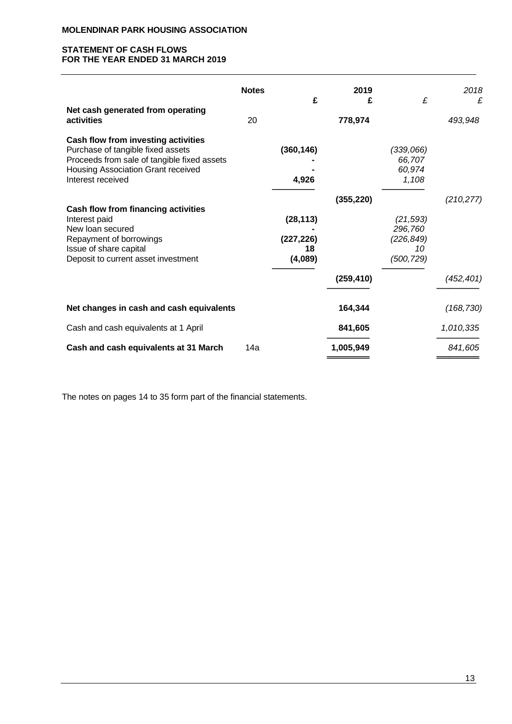# **STATEMENT OF CASH FLOWS FOR THE YEAR ENDED 31 MARCH 2019**

|                                                                                                                                                                                    | <b>Notes</b> | £                                        | 2019<br>£  | £                                                      | 2018<br>£  |
|------------------------------------------------------------------------------------------------------------------------------------------------------------------------------------|--------------|------------------------------------------|------------|--------------------------------------------------------|------------|
| Net cash generated from operating<br>activities                                                                                                                                    | 20           |                                          | 778,974    |                                                        | 493,948    |
| Cash flow from investing activities<br>Purchase of tangible fixed assets<br>Proceeds from sale of tangible fixed assets<br>Housing Association Grant received<br>Interest received |              | (360, 146)<br>4,926                      |            | (339,066)<br>66,707<br>60,974<br>1,108                 |            |
|                                                                                                                                                                                    |              |                                          | (355, 220) |                                                        | (210, 277) |
| <b>Cash flow from financing activities</b><br>Interest paid<br>New loan secured<br>Repayment of borrowings<br>Issue of share capital<br>Deposit to current asset investment        |              | (28, 113)<br>(227, 226)<br>18<br>(4,089) |            | (21, 593)<br>296,760<br>(226, 849)<br>10<br>(500, 729) |            |
|                                                                                                                                                                                    |              |                                          | (259, 410) |                                                        | (452, 401) |
| Net changes in cash and cash equivalents                                                                                                                                           |              |                                          | 164,344    |                                                        | (168, 730) |
| Cash and cash equivalents at 1 April                                                                                                                                               |              |                                          | 841,605    |                                                        | 1,010,335  |
| Cash and cash equivalents at 31 March                                                                                                                                              | 14a          |                                          | 1,005,949  |                                                        | 841,605    |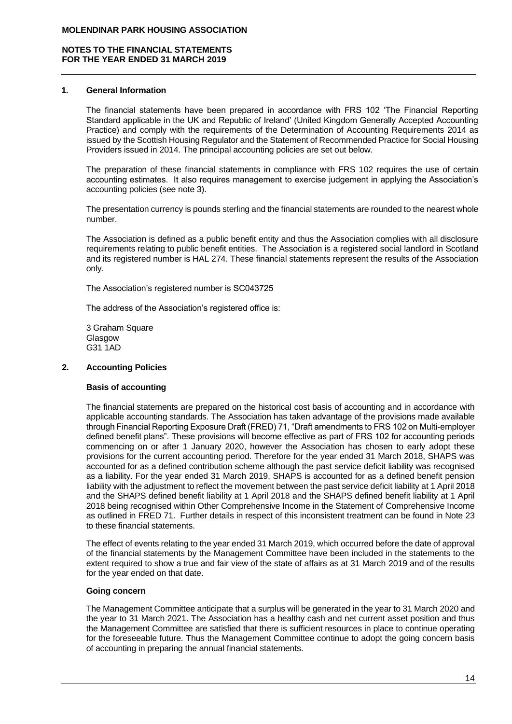### **1. General Information**

The financial statements have been prepared in accordance with FRS 102 'The Financial Reporting Standard applicable in the UK and Republic of Ireland' (United Kingdom Generally Accepted Accounting Practice) and comply with the requirements of the Determination of Accounting Requirements 2014 as issued by the Scottish Housing Regulator and the Statement of Recommended Practice for Social Housing Providers issued in 2014. The principal accounting policies are set out below.

The preparation of these financial statements in compliance with FRS 102 requires the use of certain accounting estimates. It also requires management to exercise judgement in applying the Association's accounting policies (see note 3).

The presentation currency is pounds sterling and the financial statements are rounded to the nearest whole number.

The Association is defined as a public benefit entity and thus the Association complies with all disclosure requirements relating to public benefit entities. The Association is a registered social landlord in Scotland and its registered number is HAL 274. These financial statements represent the results of the Association only.

The Association's registered number is SC043725

The address of the Association's registered office is:

3 Graham Square Glasgow G31 1AD

# **2. Accounting Policies**

# **Basis of accounting**

The financial statements are prepared on the historical cost basis of accounting and in accordance with applicable accounting standards. The Association has taken advantage of the provisions made available through Financial Reporting Exposure Draft (FRED) 71, "Draft amendments to FRS 102 on Multi-employer defined benefit plans". These provisions will become effective as part of FRS 102 for accounting periods commencing on or after 1 January 2020, however the Association has chosen to early adopt these provisions for the current accounting period. Therefore for the year ended 31 March 2018, SHAPS was accounted for as a defined contribution scheme although the past service deficit liability was recognised as a liability. For the year ended 31 March 2019, SHAPS is accounted for as a defined benefit pension liability with the adjustment to reflect the movement between the past service deficit liability at 1 April 2018 and the SHAPS defined benefit liability at 1 April 2018 and the SHAPS defined benefit liability at 1 April 2018 being recognised within Other Comprehensive Income in the Statement of Comprehensive Income as outlined in FRED 71. Further details in respect of this inconsistent treatment can be found in Note 23 to these financial statements.

The effect of events relating to the year ended 31 March 2019, which occurred before the date of approval of the financial statements by the Management Committee have been included in the statements to the extent required to show a true and fair view of the state of affairs as at 31 March 2019 and of the results for the year ended on that date.

#### **Going concern**

The Management Committee anticipate that a surplus will be generated in the year to 31 March 2020 and the year to 31 March 2021. The Association has a healthy cash and net current asset position and thus the Management Committee are satisfied that there is sufficient resources in place to continue operating for the foreseeable future. Thus the Management Committee continue to adopt the going concern basis of accounting in preparing the annual financial statements.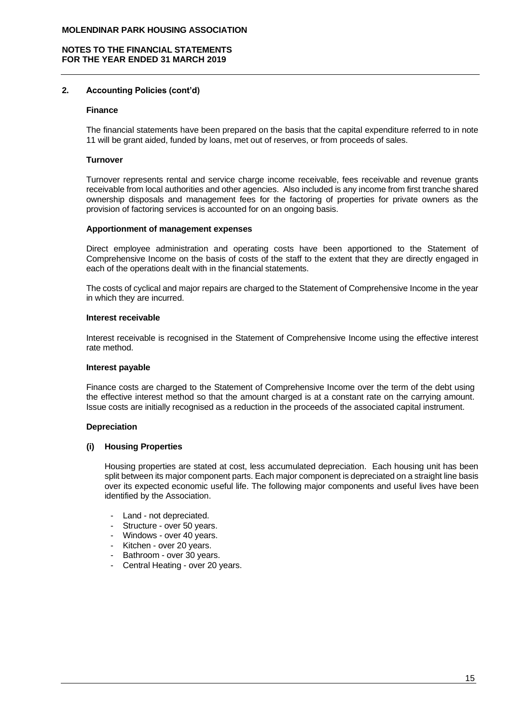### **2. Accounting Policies (cont'd)**

#### **Finance**

The financial statements have been prepared on the basis that the capital expenditure referred to in note 11 will be grant aided, funded by loans, met out of reserves, or from proceeds of sales.

#### **Turnover**

Turnover represents rental and service charge income receivable, fees receivable and revenue grants receivable from local authorities and other agencies. Also included is any income from first tranche shared ownership disposals and management fees for the factoring of properties for private owners as the provision of factoring services is accounted for on an ongoing basis.

#### **Apportionment of management expenses**

Direct employee administration and operating costs have been apportioned to the Statement of Comprehensive Income on the basis of costs of the staff to the extent that they are directly engaged in each of the operations dealt with in the financial statements.

The costs of cyclical and major repairs are charged to the Statement of Comprehensive Income in the year in which they are incurred.

#### **Interest receivable**

Interest receivable is recognised in the Statement of Comprehensive Income using the effective interest rate method.

#### **Interest payable**

Finance costs are charged to the Statement of Comprehensive Income over the term of the debt using the effective interest method so that the amount charged is at a constant rate on the carrying amount. Issue costs are initially recognised as a reduction in the proceeds of the associated capital instrument.

#### **Depreciation**

#### **(i) Housing Properties**

Housing properties are stated at cost, less accumulated depreciation. Each housing unit has been split between its major component parts. Each major component is depreciated on a straight line basis over its expected economic useful life. The following major components and useful lives have been identified by the Association.

- Land not depreciated.
- Structure over 50 years.
- Windows over 40 years.
- Kitchen over 20 years.
- Bathroom over 30 years.
- Central Heating over 20 years.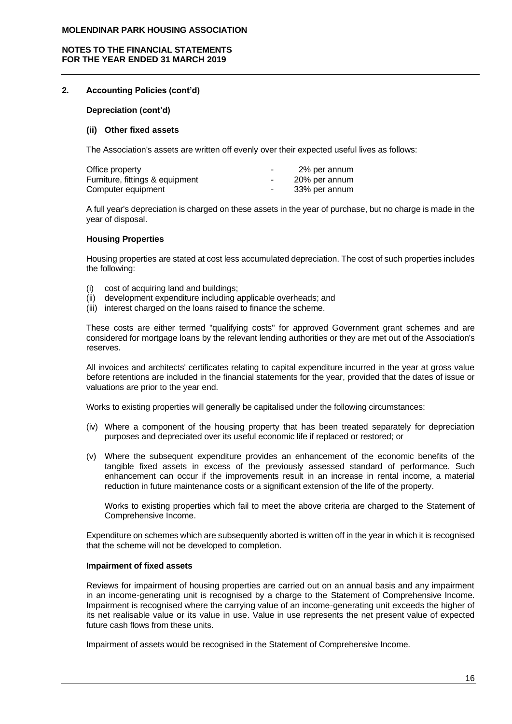### **NOTES TO THE FINANCIAL STATEMENTS FOR THE YEAR ENDED 31 MARCH 2019**

### **2. Accounting Policies (cont'd)**

#### **Depreciation (cont'd)**

#### **(ii) Other fixed assets**

The Association's assets are written off evenly over their expected useful lives as follows:

| Office property                 | $\overline{\phantom{a}}$ | 2% per annum  |
|---------------------------------|--------------------------|---------------|
| Furniture, fittings & equipment |                          | 20% per annum |
| Computer equipment              |                          | 33% per annum |

A full year's depreciation is charged on these assets in the year of purchase, but no charge is made in the year of disposal.

#### **Housing Properties**

Housing properties are stated at cost less accumulated depreciation. The cost of such properties includes the following:

- (i) cost of acquiring land and buildings;
- (ii) development expenditure including applicable overheads; and
- (iii) interest charged on the loans raised to finance the scheme.

These costs are either termed "qualifying costs" for approved Government grant schemes and are considered for mortgage loans by the relevant lending authorities or they are met out of the Association's reserves.

All invoices and architects' certificates relating to capital expenditure incurred in the year at gross value before retentions are included in the financial statements for the year, provided that the dates of issue or valuations are prior to the year end.

Works to existing properties will generally be capitalised under the following circumstances:

- (iv) Where a component of the housing property that has been treated separately for depreciation purposes and depreciated over its useful economic life if replaced or restored; or
- (v) Where the subsequent expenditure provides an enhancement of the economic benefits of the tangible fixed assets in excess of the previously assessed standard of performance. Such enhancement can occur if the improvements result in an increase in rental income, a material reduction in future maintenance costs or a significant extension of the life of the property.

Works to existing properties which fail to meet the above criteria are charged to the Statement of Comprehensive Income.

Expenditure on schemes which are subsequently aborted is written off in the year in which it is recognised that the scheme will not be developed to completion.

#### **Impairment of fixed assets**

Reviews for impairment of housing properties are carried out on an annual basis and any impairment in an income-generating unit is recognised by a charge to the Statement of Comprehensive Income. Impairment is recognised where the carrying value of an income-generating unit exceeds the higher of its net realisable value or its value in use. Value in use represents the net present value of expected future cash flows from these units.

Impairment of assets would be recognised in the Statement of Comprehensive Income.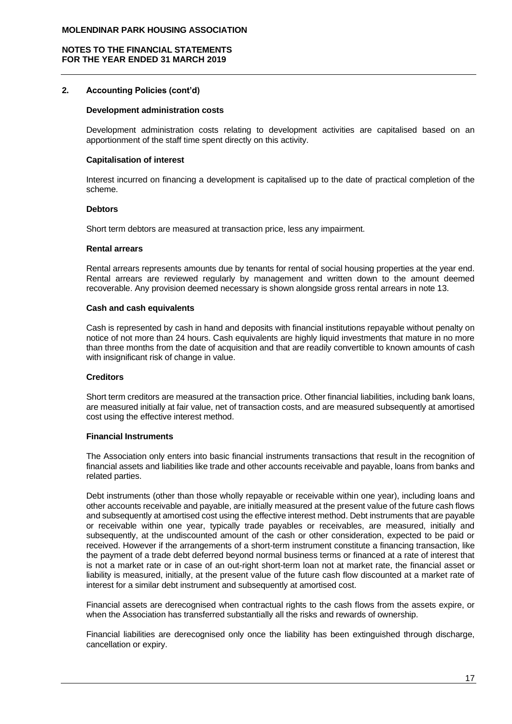### **2. Accounting Policies (cont'd)**

#### **Development administration costs**

Development administration costs relating to development activities are capitalised based on an apportionment of the staff time spent directly on this activity.

#### **Capitalisation of interest**

Interest incurred on financing a development is capitalised up to the date of practical completion of the scheme.

#### **Debtors**

Short term debtors are measured at transaction price, less any impairment.

#### **Rental arrears**

Rental arrears represents amounts due by tenants for rental of social housing properties at the year end. Rental arrears are reviewed regularly by management and written down to the amount deemed recoverable. Any provision deemed necessary is shown alongside gross rental arrears in note 13.

#### **Cash and cash equivalents**

Cash is represented by cash in hand and deposits with financial institutions repayable without penalty on notice of not more than 24 hours. Cash equivalents are highly liquid investments that mature in no more than three months from the date of acquisition and that are readily convertible to known amounts of cash with insignificant risk of change in value.

#### **Creditors**

Short term creditors are measured at the transaction price. Other financial liabilities, including bank loans, are measured initially at fair value, net of transaction costs, and are measured subsequently at amortised cost using the effective interest method.

### **Financial Instruments**

The Association only enters into basic financial instruments transactions that result in the recognition of financial assets and liabilities like trade and other accounts receivable and payable, loans from banks and related parties.

Debt instruments (other than those wholly repayable or receivable within one year), including loans and other accounts receivable and payable, are initially measured at the present value of the future cash flows and subsequently at amortised cost using the effective interest method. Debt instruments that are payable or receivable within one year, typically trade payables or receivables, are measured, initially and subsequently, at the undiscounted amount of the cash or other consideration, expected to be paid or received. However if the arrangements of a short-term instrument constitute a financing transaction, like the payment of a trade debt deferred beyond normal business terms or financed at a rate of interest that is not a market rate or in case of an out-right short-term loan not at market rate, the financial asset or liability is measured, initially, at the present value of the future cash flow discounted at a market rate of interest for a similar debt instrument and subsequently at amortised cost.

Financial assets are derecognised when contractual rights to the cash flows from the assets expire, or when the Association has transferred substantially all the risks and rewards of ownership.

Financial liabilities are derecognised only once the liability has been extinguished through discharge, cancellation or expiry.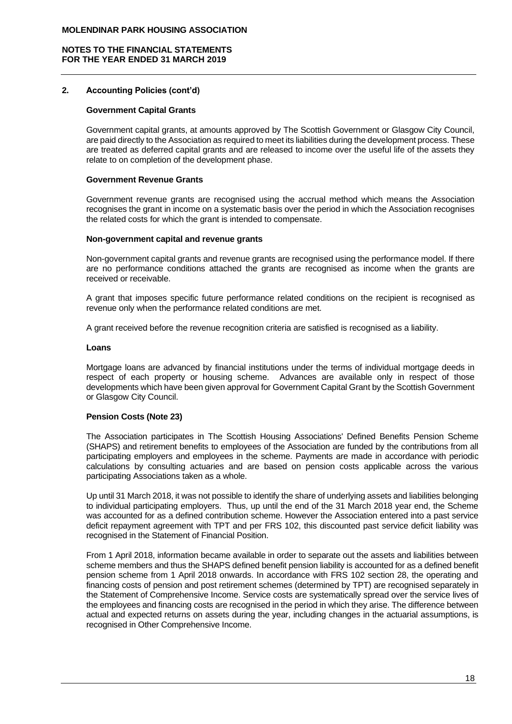### **2. Accounting Policies (cont'd)**

### **Government Capital Grants**

Government capital grants, at amounts approved by The Scottish Government or Glasgow City Council, are paid directly to the Association as required to meet its liabilities during the development process. These are treated as deferred capital grants and are released to income over the useful life of the assets they relate to on completion of the development phase.

#### **Government Revenue Grants**

Government revenue grants are recognised using the accrual method which means the Association recognises the grant in income on a systematic basis over the period in which the Association recognises the related costs for which the grant is intended to compensate.

#### **Non-government capital and revenue grants**

Non-government capital grants and revenue grants are recognised using the performance model. If there are no performance conditions attached the grants are recognised as income when the grants are received or receivable.

A grant that imposes specific future performance related conditions on the recipient is recognised as revenue only when the performance related conditions are met.

A grant received before the revenue recognition criteria are satisfied is recognised as a liability.

#### **Loans**

Mortgage loans are advanced by financial institutions under the terms of individual mortgage deeds in respect of each property or housing scheme. Advances are available only in respect of those developments which have been given approval for Government Capital Grant by the Scottish Government or Glasgow City Council.

#### **Pension Costs (Note 23)**

The Association participates in The Scottish Housing Associations' Defined Benefits Pension Scheme (SHAPS) and retirement benefits to employees of the Association are funded by the contributions from all participating employers and employees in the scheme. Payments are made in accordance with periodic calculations by consulting actuaries and are based on pension costs applicable across the various participating Associations taken as a whole.

Up until 31 March 2018, it was not possible to identify the share of underlying assets and liabilities belonging to individual participating employers. Thus, up until the end of the 31 March 2018 year end, the Scheme was accounted for as a defined contribution scheme. However the Association entered into a past service deficit repayment agreement with TPT and per FRS 102, this discounted past service deficit liability was recognised in the Statement of Financial Position.

From 1 April 2018, information became available in order to separate out the assets and liabilities between scheme members and thus the SHAPS defined benefit pension liability is accounted for as a defined benefit pension scheme from 1 April 2018 onwards. In accordance with FRS 102 section 28, the operating and financing costs of pension and post retirement schemes (determined by TPT) are recognised separately in the Statement of Comprehensive Income. Service costs are systematically spread over the service lives of the employees and financing costs are recognised in the period in which they arise. The difference between actual and expected returns on assets during the year, including changes in the actuarial assumptions, is recognised in Other Comprehensive Income.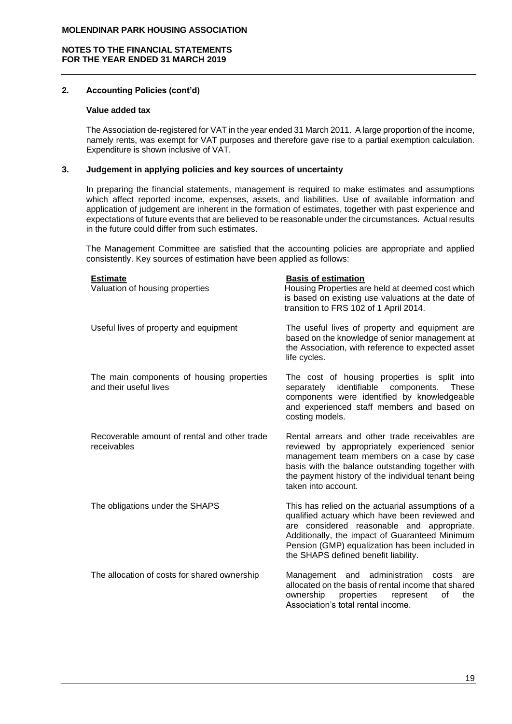# **2. Accounting Policies (cont'd)**

### **Value added tax**

The Association de-registered for VAT in the year ended 31 March 2011. A large proportion of the income, namely rents, was exempt for VAT purposes and therefore gave rise to a partial exemption calculation. Expenditure is shown inclusive of VAT.

## **3. Judgement in applying policies and key sources of uncertainty**

In preparing the financial statements, management is required to make estimates and assumptions which affect reported income, expenses, assets, and liabilities. Use of available information and application of judgement are inherent in the formation of estimates, together with past experience and expectations of future events that are believed to be reasonable under the circumstances. Actual results in the future could differ from such estimates.

The Management Committee are satisfied that the accounting policies are appropriate and applied consistently. Key sources of estimation have been applied as follows:

| <b>Estimate</b>                                                     | <b>Basis of estimation</b>                                                                                                                                                                                                                                                                     |
|---------------------------------------------------------------------|------------------------------------------------------------------------------------------------------------------------------------------------------------------------------------------------------------------------------------------------------------------------------------------------|
| Valuation of housing properties                                     | Housing Properties are held at deemed cost which<br>is based on existing use valuations at the date of<br>transition to FRS 102 of 1 April 2014.                                                                                                                                               |
| Useful lives of property and equipment                              | The useful lives of property and equipment are<br>based on the knowledge of senior management at<br>the Association, with reference to expected asset<br>life cycles.                                                                                                                          |
| The main components of housing properties<br>and their useful lives | The cost of housing properties is split into<br>identifiable components.<br>separately<br><b>These</b><br>components were identified by knowledgeable<br>and experienced staff members and based on<br>costing models.                                                                         |
| Recoverable amount of rental and other trade<br>receivables         | Rental arrears and other trade receivables are<br>reviewed by appropriately experienced senior<br>management team members on a case by case<br>basis with the balance outstanding together with<br>the payment history of the individual tenant being<br>taken into account.                   |
| The obligations under the SHAPS                                     | This has relied on the actuarial assumptions of a<br>qualified actuary which have been reviewed and<br>are considered reasonable and appropriate.<br>Additionally, the impact of Guaranteed Minimum<br>Pension (GMP) equalization has been included in<br>the SHAPS defined benefit liability. |
| The allocation of costs for shared ownership                        | and administration<br>Management<br>costs<br>are<br>allocated on the basis of rental income that shared<br>ownership<br>properties<br>οf<br>the<br>represent<br>Association's total rental income.                                                                                             |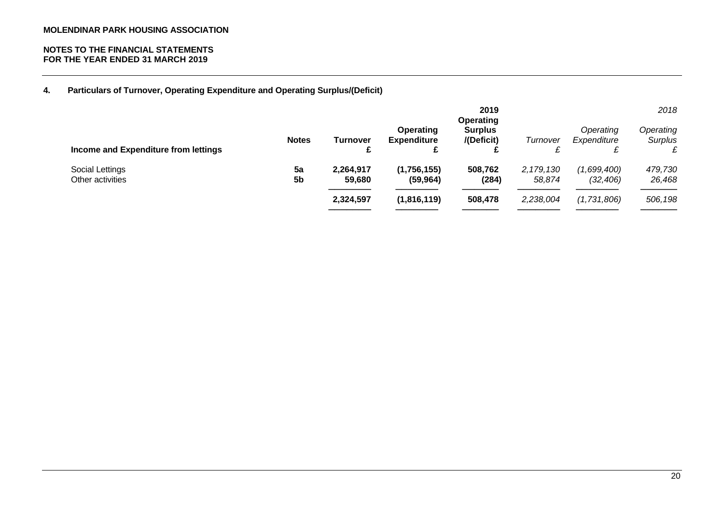### **NOTES TO THE FINANCIAL STATEMENTS FOR THE YEAR ENDED 31 MARCH 2019**

**4. Particulars of Turnover, Operating Expenditure and Operating Surplus/(Deficit)**

| Income and Expenditure from lettings | <b>Notes</b>         | Turnover<br>£                    | <b>Operating</b><br><b>Expenditure</b><br>c | 2019<br><b>Operating</b><br><b>Surplus</b><br>/(Deficit) | Turnover                           | Operating<br>Expenditure<br>£           | 2018<br>Operating<br>Surplus |
|--------------------------------------|----------------------|----------------------------------|---------------------------------------------|----------------------------------------------------------|------------------------------------|-----------------------------------------|------------------------------|
| Social Lettings<br>Other activities  | 5a<br>5 <sub>b</sub> | 2,264,917<br>59,680<br>2,324,597 | (1,756,155)<br>(59, 964)<br>(1,816,119)     | 508,762<br>(284)<br>508,478                              | 2, 179, 130<br>58,874<br>2,238,004 | (1,699,400)<br>(32, 406)<br>(1,731,806) | 479,730<br>26,468<br>506,198 |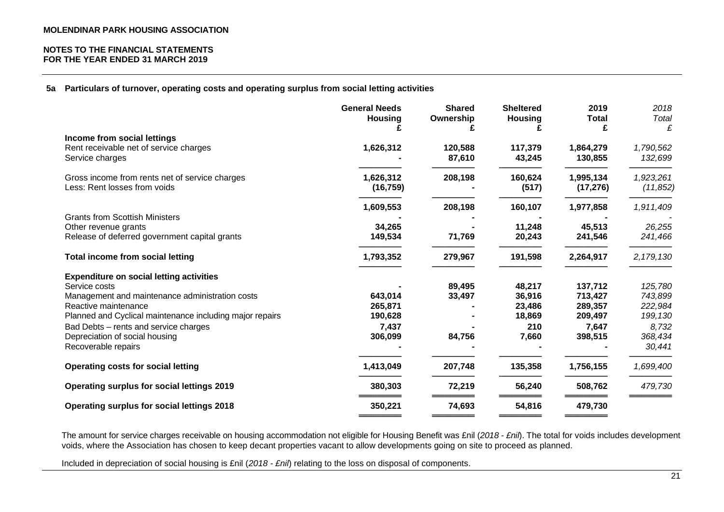**5a Particulars of turnover, operating costs and operating surplus from social letting activities**

|                                                          | <b>General Needs</b><br><b>Housing</b> | <b>Shared</b><br>Ownership | <b>Sheltered</b><br><b>Housing</b> | 2019<br><b>Total</b> | 2018<br>Total |
|----------------------------------------------------------|----------------------------------------|----------------------------|------------------------------------|----------------------|---------------|
| Income from social lettings                              |                                        |                            |                                    | £                    | £             |
| Rent receivable net of service charges                   | 1,626,312                              | 120,588                    | 117,379                            | 1,864,279            | 1,790,562     |
| Service charges                                          |                                        | 87,610                     | 43,245                             | 130,855              | 132,699       |
| Gross income from rents net of service charges           | 1,626,312                              | 208,198                    | 160,624                            | 1,995,134            | 1,923,261     |
| Less: Rent losses from voids                             | (16, 759)                              |                            | (517)                              | (17, 276)            | (11, 852)     |
|                                                          | 1,609,553                              | 208,198                    | 160,107                            | 1,977,858            | 1,911,409     |
| <b>Grants from Scottish Ministers</b>                    |                                        |                            |                                    |                      |               |
| Other revenue grants                                     | 34,265                                 |                            | 11,248                             | 45,513               | 26,255        |
| Release of deferred government capital grants            | 149,534                                | 71,769                     | 20,243                             | 241,546              | 241,466       |
| <b>Total income from social letting</b>                  | 1,793,352                              | 279,967                    | 191,598                            | 2,264,917            | 2,179,130     |
| <b>Expenditure on social letting activities</b>          |                                        |                            |                                    |                      |               |
| Service costs                                            |                                        | 89,495                     | 48,217                             | 137,712              | 125,780       |
| Management and maintenance administration costs          | 643,014                                | 33,497                     | 36,916                             | 713,427              | 743,899       |
| Reactive maintenance                                     | 265,871                                |                            | 23,486                             | 289,357              | 222,984       |
| Planned and Cyclical maintenance including major repairs | 190,628                                |                            | 18,869                             | 209,497              | 199,130       |
| Bad Debts - rents and service charges                    | 7,437                                  |                            | 210                                | 7,647                | 8,732         |
| Depreciation of social housing                           | 306,099                                | 84,756                     | 7,660                              | 398,515              | 368,434       |
| Recoverable repairs                                      |                                        |                            |                                    |                      | 30,441        |
| <b>Operating costs for social letting</b>                | 1,413,049                              | 207,748                    | 135,358                            | 1,756,155            | 1,699,400     |
| <b>Operating surplus for social lettings 2019</b>        | 380,303                                | 72,219                     | 56,240                             | 508,762              | 479,730       |
| <b>Operating surplus for social lettings 2018</b>        | 350,221                                | 74,693                     | 54,816                             | 479,730              |               |
|                                                          |                                        |                            |                                    |                      |               |

The amount for service charges receivable on housing accommodation not eligible for Housing Benefit was £nil (*2018 - £nil*). The total for voids includes development voids, where the Association has chosen to keep decant properties vacant to allow developments going on site to proceed as planned.

Included in depreciation of social housing is £nil (*2018 - £nil*) relating to the loss on disposal of components.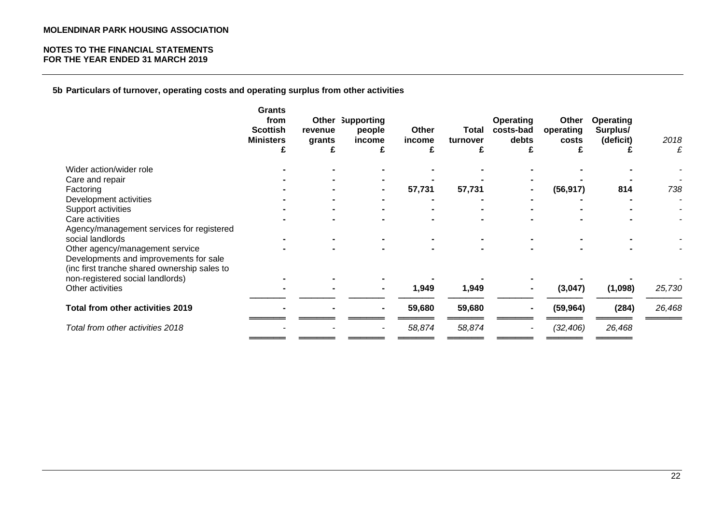**5b Particulars of turnover, operating costs and operating surplus from other activities**

|                                                      | <b>Grants</b><br>from<br><b>Scottish</b><br><b>Ministers</b><br>£ | revenue<br>grants<br>£ | Other Supporting<br>people<br>income<br>£ | Other<br>income<br>£ | Total<br>turnover<br>£ | <b>Operating</b><br>costs-bad<br>debts<br>£ | Other<br>operating<br>costs<br>ż. | <b>Operating</b><br>Surplus/<br>(deficit) | 2018<br>£ |
|------------------------------------------------------|-------------------------------------------------------------------|------------------------|-------------------------------------------|----------------------|------------------------|---------------------------------------------|-----------------------------------|-------------------------------------------|-----------|
| Wider action/wider role                              |                                                                   |                        |                                           |                      |                        |                                             |                                   |                                           |           |
| Care and repair                                      |                                                                   |                        |                                           |                      |                        |                                             |                                   |                                           |           |
| Factoring                                            |                                                                   |                        |                                           | 57,731               | 57,731                 |                                             | (56, 917)                         | 814                                       | 738       |
| Development activities                               |                                                                   |                        |                                           |                      |                        |                                             |                                   |                                           |           |
| Support activities                                   |                                                                   |                        |                                           |                      |                        |                                             |                                   |                                           |           |
| Care activities                                      |                                                                   |                        |                                           |                      |                        |                                             |                                   |                                           |           |
| Agency/management services for registered            |                                                                   |                        |                                           |                      |                        |                                             |                                   |                                           |           |
| social landlords                                     |                                                                   |                        |                                           |                      |                        |                                             |                                   |                                           |           |
| Other agency/management service                      |                                                                   |                        |                                           |                      |                        |                                             |                                   |                                           |           |
| Developments and improvements for sale               |                                                                   |                        |                                           |                      |                        |                                             |                                   |                                           |           |
| (inc first tranche shared ownership sales to         |                                                                   |                        |                                           |                      |                        |                                             |                                   |                                           |           |
| non-registered social landlords)<br>Other activities |                                                                   |                        |                                           | 1,949                | 1,949                  |                                             | (3,047)                           |                                           | 25,730    |
|                                                      |                                                                   |                        |                                           |                      |                        |                                             |                                   | (1,098)                                   |           |
| Total from other activities 2019                     |                                                                   |                        |                                           | 59,680               | 59,680                 | $\blacksquare$                              | (59, 964)                         | (284)                                     | 26,468    |
| Total from other activities 2018                     |                                                                   |                        |                                           | 58,874               | 58,874                 | $\overline{\phantom{a}}$                    | (32, 406)                         | 26,468                                    |           |
|                                                      |                                                                   |                        |                                           |                      |                        |                                             |                                   |                                           |           |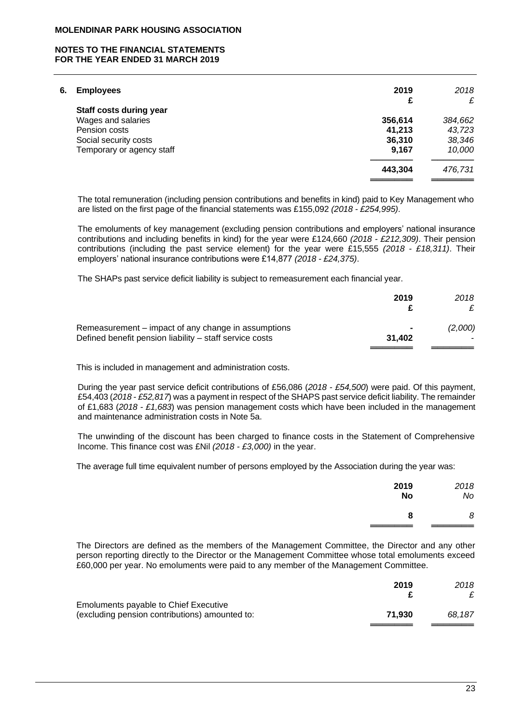### **NOTES TO THE FINANCIAL STATEMENTS FOR THE YEAR ENDED 31 MARCH 2019**

| 6. | <b>Employees</b>          | 2019    | 2018    |
|----|---------------------------|---------|---------|
|    |                           | £       | £       |
|    | Staff costs during year   |         |         |
|    | Wages and salaries        | 356,614 | 384,662 |
|    | Pension costs             | 41,213  | 43,723  |
|    | Social security costs     | 36,310  | 38,346  |
|    | Temporary or agency staff | 9,167   | 10,000  |
|    |                           | 443,304 | 476,731 |
|    |                           |         |         |

The total remuneration (including pension contributions and benefits in kind) paid to Key Management who are listed on the first page of the financial statements was £155,092 *(2018 - £254,995)*.

The emoluments of key management (excluding pension contributions and employers' national insurance contributions and including benefits in kind) for the year were £124,660 *(2018 - £212,309)*. Their pension contributions (including the past service element) for the year were £15,555 *(2018 - £18,311)*. Their employers' national insurance contributions were £14,877 *(2018 - £24,375)*.

The SHAPs past service deficit liability is subject to remeasurement each financial year.

|                                                         | 2019   | 2018    |
|---------------------------------------------------------|--------|---------|
| Remeasurement – impact of any change in assumptions     |        | (2,000) |
| Defined benefit pension liability – staff service costs | 31.402 |         |
|                                                         |        |         |

This is included in management and administration costs.

During the year past service deficit contributions of £56,086 (*2018 - £54,500*) were paid. Of this payment, £54,403 (*2018 - £52,817*) was a payment in respect of the SHAPS past service deficit liability. The remainder of £1,683 (*2018 - £1,683*) was pension management costs which have been included in the management and maintenance administration costs in Note 5a.

The unwinding of the discount has been charged to finance costs in the Statement of Comprehensive Income. This finance cost was £Nil *(2018 - £3,000)* in the year.

The average full time equivalent number of persons employed by the Association during the year was:

| 2019      | 2018 |
|-----------|------|
| <b>No</b> | No   |
| 8         | 8    |

The Directors are defined as the members of the Management Committee, the Director and any other person reporting directly to the Director or the Management Committee whose total emoluments exceed £60,000 per year. No emoluments were paid to any member of the Management Committee.

|                                                                                         | 2019   | 2018   |
|-----------------------------------------------------------------------------------------|--------|--------|
|                                                                                         |        |        |
| Emoluments payable to Chief Executive<br>(excluding pension contributions) amounted to: | 71.930 | 68.187 |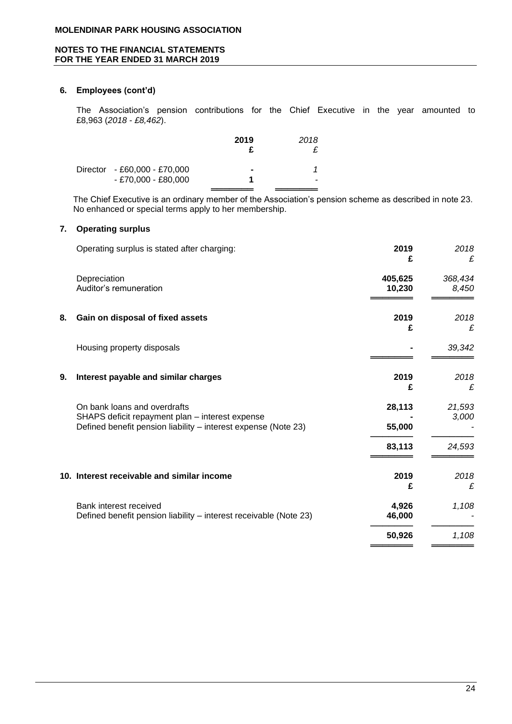# **6. Employees (cont'd)**

The Association's pension contributions for the Chief Executive in the year amounted to £8,963 (*2018 - £8,462*).

| 2019                                                  | 2018 |
|-------------------------------------------------------|------|
| $\blacksquare$                                        |      |
|                                                       | -    |
| Director - £60,000 - £70,000<br>$- E70,000 - E80,000$ |      |

The Chief Executive is an ordinary member of the Association's pension scheme as described in note 23. No enhanced or special terms apply to her membership.

# **7. Operating surplus**

|    | Operating surplus is stated after charging:                                                                       | 2019<br>£       | 2018<br>£ |
|----|-------------------------------------------------------------------------------------------------------------------|-----------------|-----------|
|    | Depreciation                                                                                                      | 405,625         | 368,434   |
|    | Auditor's remuneration                                                                                            | 10,230          | 8,450     |
| 8. | Gain on disposal of fixed assets                                                                                  | 2019<br>£       | 2018<br>£ |
|    | Housing property disposals                                                                                        |                 | 39,342    |
| 9. | Interest payable and similar charges                                                                              | 2019<br>£       | 2018<br>£ |
|    | On bank loans and overdrafts                                                                                      | 28,113          | 21,593    |
|    | SHAPS deficit repayment plan - interest expense<br>Defined benefit pension liability - interest expense (Note 23) | 55,000          | 3,000     |
|    |                                                                                                                   | 83,113          | 24,593    |
|    | 10. Interest receivable and similar income                                                                        | 2019<br>£       | 2018<br>£ |
|    | Bank interest received<br>Defined benefit pension liability - interest receivable (Note 23)                       | 4,926<br>46,000 | 1,108     |
|    |                                                                                                                   | 50,926          | 1,108     |
|    |                                                                                                                   |                 |           |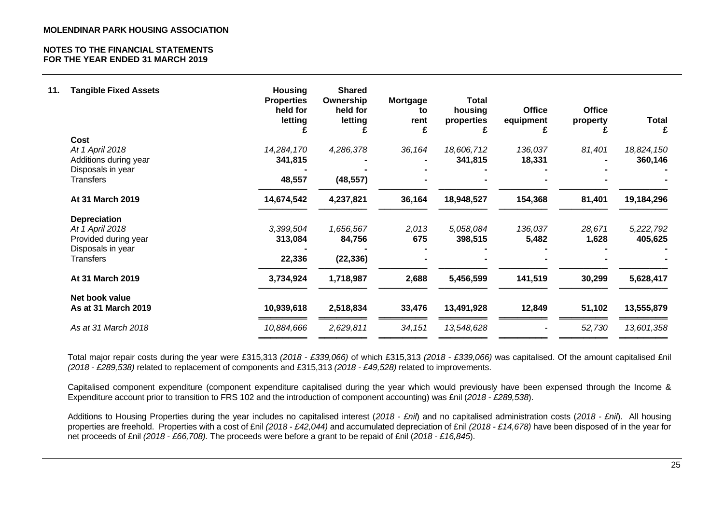| 11. | <b>Tangible Fixed Assets</b>               | <b>Housing</b><br><b>Properties</b><br>held for<br>letting | <b>Shared</b><br>Ownership<br>held for<br>letting | <b>Mortgage</b><br>to<br>rent | <b>Total</b><br>housing<br>properties<br>£ | <b>Office</b><br>equipment<br>£ | <b>Office</b><br>property | <b>Total</b><br>£ |
|-----|--------------------------------------------|------------------------------------------------------------|---------------------------------------------------|-------------------------------|--------------------------------------------|---------------------------------|---------------------------|-------------------|
|     | <b>Cost</b>                                |                                                            |                                                   |                               |                                            |                                 |                           |                   |
|     | At 1 April 2018                            | 14,284,170                                                 | 4,286,378                                         | 36,164                        | 18,606,712                                 | 136,037                         | 81,401                    | 18,824,150        |
|     | Additions during year<br>Disposals in year | 341,815                                                    |                                                   |                               | 341,815                                    | 18,331                          |                           | 360,146           |
|     | <b>Transfers</b>                           | 48,557                                                     | (48, 557)                                         |                               |                                            |                                 |                           |                   |
|     | At 31 March 2019                           | 14,674,542                                                 | 4,237,821                                         | 36,164                        | 18,948,527                                 | 154,368                         | 81,401                    | 19,184,296        |
|     | <b>Depreciation</b>                        |                                                            |                                                   |                               |                                            |                                 |                           |                   |
|     | At 1 April 2018                            | 3,399,504                                                  | 1,656,567                                         | 2,013                         | 5,058,084                                  | 136,037                         | 28,671                    | 5,222,792         |
|     | Provided during year                       | 313,084                                                    | 84,756                                            | 675                           | 398,515                                    | 5,482                           | 1,628                     | 405,625           |
|     | Disposals in year                          |                                                            |                                                   |                               |                                            |                                 |                           |                   |
|     | <b>Transfers</b>                           | 22,336                                                     | (22, 336)                                         |                               |                                            |                                 |                           |                   |
|     | At 31 March 2019                           | 3,734,924                                                  | 1,718,987                                         | 2,688                         | 5,456,599                                  | 141,519                         | 30,299                    | 5,628,417         |
|     | Net book value                             |                                                            |                                                   |                               |                                            |                                 |                           |                   |
|     | As at 31 March 2019                        | 10,939,618                                                 | 2,518,834                                         | 33,476                        | 13,491,928                                 | 12,849                          | 51,102                    | 13,555,879        |
|     | As at 31 March 2018                        | 10,884,666                                                 | 2,629,811                                         | 34,151                        | 13,548,628                                 |                                 | 52,730                    | 13,601,358        |
|     |                                            |                                                            |                                                   |                               |                                            |                                 |                           |                   |

Total major repair costs during the year were £315,313 *(2018 - £339,066)* of which £315,313 *(2018 - £339,066)* was capitalised. Of the amount capitalised £nil *(2018 - £289,538)* related to replacement of components and £315,313 *(2018 - £49,528)* related to improvements.

Capitalised component expenditure (component expenditure capitalised during the year which would previously have been expensed through the Income & Expenditure account prior to transition to FRS 102 and the introduction of component accounting) was £nil (*2018 - £289,538*).

Additions to Housing Properties during the year includes no capitalised interest (*2018 - £nil*) and no capitalised administration costs (*2018 - £nil*). All housing properties are freehold. Properties with a cost of £nil *(2018 - £42,044)* and accumulated depreciation of £nil *(2018 - £14,678)* have been disposed of in the year for net proceeds of £nil *(2018 - £66,708).* The proceeds were before a grant to be repaid of £nil (*2018 - £16,845*).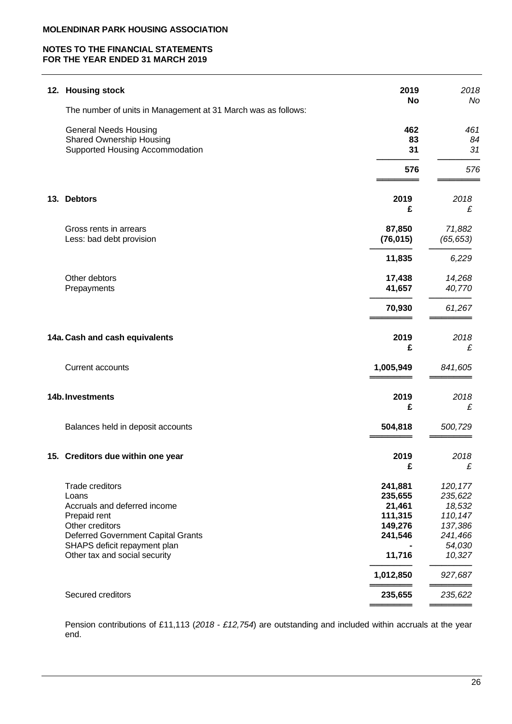# **NOTES TO THE FINANCIAL STATEMENTS FOR THE YEAR ENDED 31 MARCH 2019**

|     | 12. Housing stock                                                                                                                                                                                  | 2019<br><b>No</b>                                                                    | 2018<br>No                                                                                    |
|-----|----------------------------------------------------------------------------------------------------------------------------------------------------------------------------------------------------|--------------------------------------------------------------------------------------|-----------------------------------------------------------------------------------------------|
|     | The number of units in Management at 31 March was as follows:                                                                                                                                      |                                                                                      |                                                                                               |
|     | <b>General Needs Housing</b><br><b>Shared Ownership Housing</b><br>Supported Housing Accommodation                                                                                                 | 462<br>83<br>31                                                                      | 461<br>84<br>31                                                                               |
|     |                                                                                                                                                                                                    | 576                                                                                  | 576                                                                                           |
| 13. | <b>Debtors</b>                                                                                                                                                                                     | 2019<br>£                                                                            | 2018<br>£                                                                                     |
|     | Gross rents in arrears<br>Less: bad debt provision                                                                                                                                                 | 87,850<br>(76, 015)                                                                  | 71,882<br>(65, 653)                                                                           |
|     |                                                                                                                                                                                                    | 11,835                                                                               | 6,229                                                                                         |
|     | Other debtors<br>Prepayments                                                                                                                                                                       | 17,438<br>41,657                                                                     | 14,268<br>40,770                                                                              |
|     |                                                                                                                                                                                                    | 70,930                                                                               | 61,267                                                                                        |
|     | 14a. Cash and cash equivalents                                                                                                                                                                     | 2019<br>£                                                                            | 2018<br>£                                                                                     |
|     | <b>Current accounts</b>                                                                                                                                                                            | 1,005,949                                                                            | 841,605                                                                                       |
|     | 14b. Investments                                                                                                                                                                                   | 2019<br>£                                                                            | 2018<br>£                                                                                     |
|     | Balances held in deposit accounts                                                                                                                                                                  | 504,818                                                                              | 500,729                                                                                       |
|     | 15. Creditors due within one year                                                                                                                                                                  | 2019<br>£                                                                            | 2018<br>£                                                                                     |
|     | Trade creditors<br>Loans<br>Accruals and deferred income<br>Prepaid rent<br>Other creditors<br>Deferred Government Capital Grants<br>SHAPS deficit repayment plan<br>Other tax and social security | 241,881<br>235,655<br>21,461<br>111,315<br>149,276<br>241,546<br>11,716<br>1,012,850 | 120, 177<br>235,622<br>18,532<br>110,147<br>137,386<br>241,466<br>54,030<br>10,327<br>927,687 |
|     | Secured creditors                                                                                                                                                                                  | 235,655                                                                              | 235,622                                                                                       |
|     |                                                                                                                                                                                                    |                                                                                      |                                                                                               |

Pension contributions of £11,113 (*2018 - £12,754*) are outstanding and included within accruals at the year end.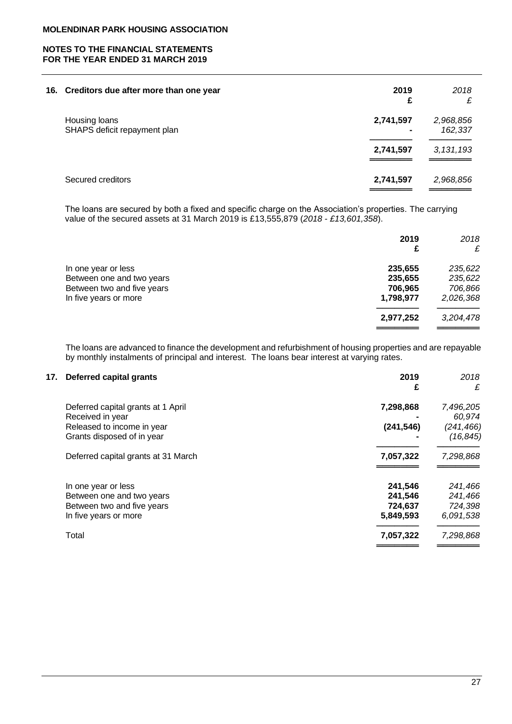| 16. Creditors due after more than one year    | 2019<br>£ | 2018<br>£            |
|-----------------------------------------------|-----------|----------------------|
| Housing loans<br>SHAPS deficit repayment plan | 2,741,597 | 2,968,856<br>162,337 |
|                                               | 2,741,597 | 3, 131, 193          |
| Secured creditors                             | 2,741,597 | 2,968,856            |

The loans are secured by both a fixed and specific charge on the Association's properties. The carrying value of the secured assets at 31 March 2019 is £13,555,879 (*2018 - £13,601,358*).

|                            | 2019      | 2018<br>£ |
|----------------------------|-----------|-----------|
| In one year or less        | 235,655   | 235,622   |
| Between one and two years  | 235,655   | 235,622   |
| Between two and five years | 706,965   | 706,866   |
| In five years or more      | 1,798,977 | 2,026,368 |
|                            | 2,977,252 | 3,204,478 |
|                            |           |           |

The loans are advanced to finance the development and refurbishment of housing properties and are repayable by monthly instalments of principal and interest. The loans bear interest at varying rates.

| 17. Deferred capital grants | 2019 | 2018 |
|-----------------------------|------|------|
|                             |      |      |

|                                     | £          | £          |
|-------------------------------------|------------|------------|
| Deferred capital grants at 1 April  | 7,298,868  | 7,496,205  |
| Received in year                    |            | 60,974     |
| Released to income in year          | (241, 546) | (241, 466) |
| Grants disposed of in year          |            | (16, 845)  |
| Deferred capital grants at 31 March | 7,057,322  | 7,298,868  |
| In one year or less                 | 241,546    | 241,466    |
| Between one and two years           | 241,546    | 241,466    |
| Between two and five years          | 724,637    | 724,398    |
| In five years or more               | 5,849,593  | 6,091,538  |
| Total                               | 7,057,322  | 7,298,868  |
|                                     |            |            |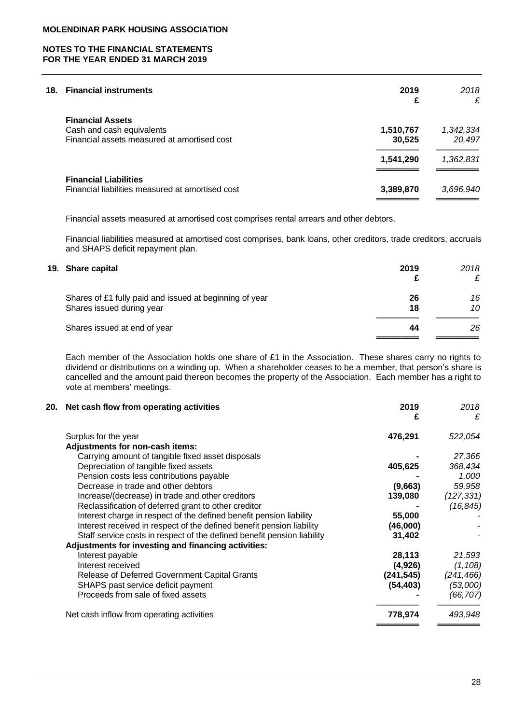# **18. Financial instruments 2019** *2018*

| .                                                | £         | ---<br>£  |
|--------------------------------------------------|-----------|-----------|
| <b>Financial Assets</b>                          |           |           |
| Cash and cash equivalents                        | 1,510,767 | 1,342,334 |
| Financial assets measured at amortised cost      | 30.525    | 20,497    |
|                                                  | 1,541,290 | 1,362,831 |
| <b>Financial Liabilities</b>                     |           |           |
| Financial liabilities measured at amortised cost | 3,389,870 | 3,696,940 |
|                                                  |           |           |

Financial assets measured at amortised cost comprises rental arrears and other debtors.

Financial liabilities measured at amortised cost comprises, bank loans, other creditors, trade creditors, accruals and SHAPS deficit repayment plan.

| 19. Share capital                                                                    | 2019     | 2018<br>£ |
|--------------------------------------------------------------------------------------|----------|-----------|
| Shares of £1 fully paid and issued at beginning of year<br>Shares issued during year | 26<br>18 | 16<br>10  |
| Shares issued at end of year                                                         | 44       | 26        |

Each member of the Association holds one share of £1 in the Association. These shares carry no rights to dividend or distributions on a winding up. When a shareholder ceases to be a member, that person's share is cancelled and the amount paid thereon becomes the property of the Association. Each member has a right to vote at members' meetings.

| 20. | Net cash flow from operating activities                                 | 2019<br>£ | 2018<br>£  |
|-----|-------------------------------------------------------------------------|-----------|------------|
|     | Surplus for the year                                                    | 476,291   | 522,054    |
|     | Adjustments for non-cash items:                                         |           |            |
|     | Carrying amount of tangible fixed asset disposals                       |           | 27,366     |
|     | Depreciation of tangible fixed assets                                   | 405,625   | 368,434    |
|     | Pension costs less contributions payable                                |           | 1,000      |
|     | Decrease in trade and other debtors                                     | (9,663)   | 59,958     |
|     | Increase/(decrease) in trade and other creditors                        | 139,080   | (127,331)  |
|     | Reclassification of deferred grant to other creditor                    |           | (16, 845)  |
|     | Interest charge in respect of the defined benefit pension liability     | 55,000    |            |
|     | Interest received in respect of the defined benefit pension liability   | (46,000)  |            |
|     | Staff service costs in respect of the defined benefit pension liability | 31,402    |            |
|     | Adjustments for investing and financing activities:                     |           |            |
|     | Interest payable                                                        | 28,113    | 21,593     |
|     | Interest received                                                       | (4,926)   | (1, 108)   |
|     | Release of Deferred Government Capital Grants                           | (241,545) | (241, 466) |
|     | SHAPS past service deficit payment                                      | (54, 403) | (53,000)   |
|     | Proceeds from sale of fixed assets                                      |           | (66,707)   |
|     | Net cash inflow from operating activities                               | 778,974   | 493,948    |
|     |                                                                         |           |            |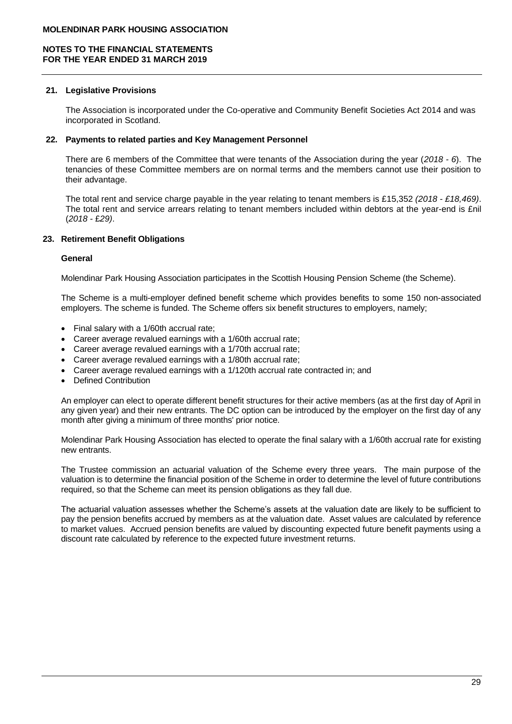### **21. Legislative Provisions**

The Association is incorporated under the Co-operative and Community Benefit Societies Act 2014 and was incorporated in Scotland.

### **22. Payments to related parties and Key Management Personnel**

There are 6 members of the Committee that were tenants of the Association during the year (*2018 - 6*). The tenancies of these Committee members are on normal terms and the members cannot use their position to their advantage.

The total rent and service charge payable in the year relating to tenant members is £15,352 *(2018 - £18,469)*. The total rent and service arrears relating to tenant members included within debtors at the year-end is £nil (*2018 -* £*29)*.

### **23. Retirement Benefit Obligations**

### **General**

Molendinar Park Housing Association participates in the Scottish Housing Pension Scheme (the Scheme).

The Scheme is a multi-employer defined benefit scheme which provides benefits to some 150 non-associated employers. The scheme is funded. The Scheme offers six benefit structures to employers, namely;

- Final salary with a 1/60th accrual rate;
- Career average revalued earnings with a 1/60th accrual rate;
- Career average revalued earnings with a 1/70th accrual rate;
- Career average revalued earnings with a 1/80th accrual rate;
- Career average revalued earnings with a 1/120th accrual rate contracted in; and
- Defined Contribution

An employer can elect to operate different benefit structures for their active members (as at the first day of April in any given year) and their new entrants. The DC option can be introduced by the employer on the first day of any month after giving a minimum of three months' prior notice.

Molendinar Park Housing Association has elected to operate the final salary with a 1/60th accrual rate for existing new entrants.

The Trustee commission an actuarial valuation of the Scheme every three years. The main purpose of the valuation is to determine the financial position of the Scheme in order to determine the level of future contributions required, so that the Scheme can meet its pension obligations as they fall due.

The actuarial valuation assesses whether the Scheme's assets at the valuation date are likely to be sufficient to pay the pension benefits accrued by members as at the valuation date. Asset values are calculated by reference to market values. Accrued pension benefits are valued by discounting expected future benefit payments using a discount rate calculated by reference to the expected future investment returns.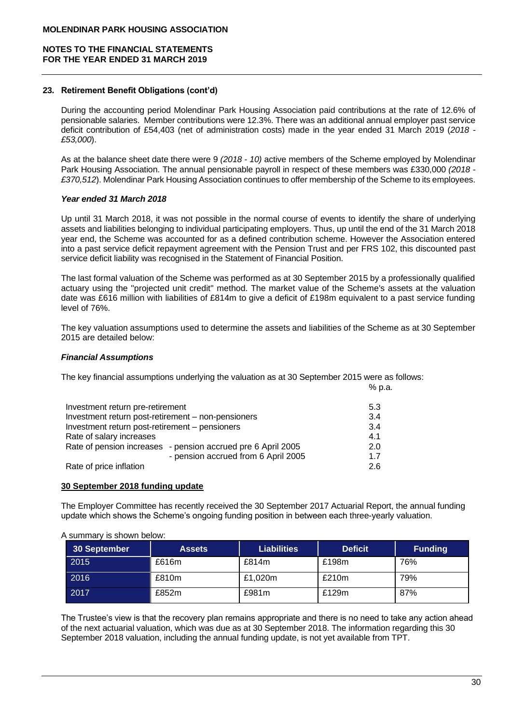### **23. Retirement Benefit Obligations (cont'd)**

During the accounting period Molendinar Park Housing Association paid contributions at the rate of 12.6% of pensionable salaries. Member contributions were 12.3%. There was an additional annual employer past service deficit contribution of £54,403 (net of administration costs) made in the year ended 31 March 2019 (*2018 - £53,000*).

As at the balance sheet date there were 9 *(2018 - 10)* active members of the Scheme employed by Molendinar Park Housing Association. The annual pensionable payroll in respect of these members was £330,000 *(2018 - £370,512*). Molendinar Park Housing Association continues to offer membership of the Scheme to its employees.

### *Year ended 31 March 2018*

Up until 31 March 2018, it was not possible in the normal course of events to identify the share of underlying assets and liabilities belonging to individual participating employers. Thus, up until the end of the 31 March 2018 year end, the Scheme was accounted for as a defined contribution scheme. However the Association entered into a past service deficit repayment agreement with the Pension Trust and per FRS 102, this discounted past service deficit liability was recognised in the Statement of Financial Position.

The last formal valuation of the Scheme was performed as at 30 September 2015 by a professionally qualified actuary using the ''projected unit credit'' method. The market value of the Scheme's assets at the valuation date was £616 million with liabilities of £814m to give a deficit of £198m equivalent to a past service funding level of 76%.

The key valuation assumptions used to determine the assets and liabilities of the Scheme as at 30 September 2015 are detailed below:

% p.a.

### *Financial Assumptions*

The key financial assumptions underlying the valuation as at 30 September 2015 were as follows:

| Investment return pre-retirement                             | 5.3 |
|--------------------------------------------------------------|-----|
| Investment return post-retirement - non-pensioners           | 3.4 |
| Investment return post-retirement - pensioners               | 3.4 |
| Rate of salary increases                                     | 4.1 |
| Rate of pension increases - pension accrued pre 6 April 2005 | 2.0 |
| - pension accrued from 6 April 2005                          | 17  |
| Rate of price inflation                                      | 2.6 |

#### **30 September 2018 funding update**

The Employer Committee has recently received the 30 September 2017 Actuarial Report, the annual funding update which shows the Scheme's ongoing funding position in between each three-yearly valuation.

A summary is shown below:

| 30 September | <b>Assets</b> | <b>Liabilities</b> | <b>Deficit</b> | <b>Funding</b> |
|--------------|---------------|--------------------|----------------|----------------|
| 2015         | £616m         | £814m              | £198m          | 76%            |
| 2016         | £810m         | £1,020m            | £210m          | 79%            |
| 2017         | £852m         | £981m              | £129m          | 87%            |

The Trustee's view is that the recovery plan remains appropriate and there is no need to take any action ahead of the next actuarial valuation, which was due as at 30 September 2018. The information regarding this 30 September 2018 valuation, including the annual funding update, is not yet available from TPT.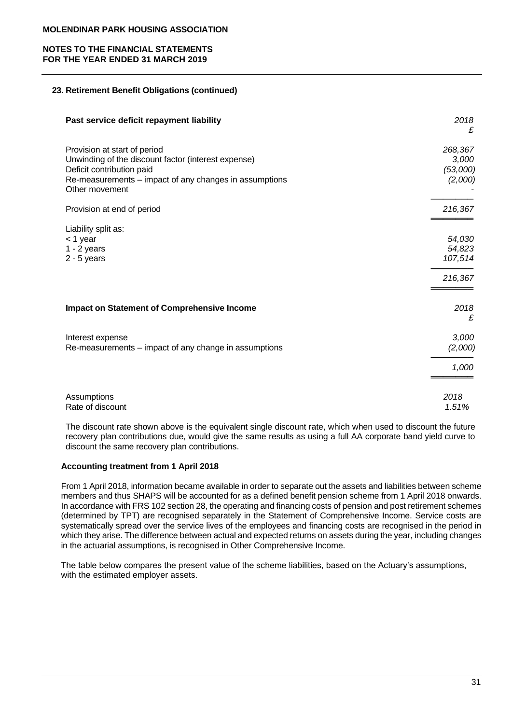# **NOTES TO THE FINANCIAL STATEMENTS FOR THE YEAR ENDED 31 MARCH 2019**

# **23. Retirement Benefit Obligations (continued)**

| Past service deficit repayment liability                                                                                                                                                     | 2018<br>£                               |
|----------------------------------------------------------------------------------------------------------------------------------------------------------------------------------------------|-----------------------------------------|
| Provision at start of period<br>Unwinding of the discount factor (interest expense)<br>Deficit contribution paid<br>Re-measurements – impact of any changes in assumptions<br>Other movement | 268,367<br>3,000<br>(53,000)<br>(2,000) |
| Provision at end of period                                                                                                                                                                   | 216,367                                 |
| Liability split as:<br>< 1 year<br>$1 - 2$ years<br>$2 - 5$ years                                                                                                                            | 54,030<br>54,823<br>107,514<br>216,367  |
| <b>Impact on Statement of Comprehensive Income</b>                                                                                                                                           | 2018<br>£                               |
| Interest expense<br>Re-measurements – impact of any change in assumptions                                                                                                                    | 3,000<br>(2,000)                        |
|                                                                                                                                                                                              | 1,000                                   |
| Assumptions<br>Rate of discount                                                                                                                                                              | 2018<br>1.51%                           |

The discount rate shown above is the equivalent single discount rate, which when used to discount the future recovery plan contributions due, would give the same results as using a full AA corporate band yield curve to discount the same recovery plan contributions.

# **Accounting treatment from 1 April 2018**

From 1 April 2018, information became available in order to separate out the assets and liabilities between scheme members and thus SHAPS will be accounted for as a defined benefit pension scheme from 1 April 2018 onwards. In accordance with FRS 102 section 28, the operating and financing costs of pension and post retirement schemes (determined by TPT) are recognised separately in the Statement of Comprehensive Income. Service costs are systematically spread over the service lives of the employees and financing costs are recognised in the period in which they arise. The difference between actual and expected returns on assets during the year, including changes in the actuarial assumptions, is recognised in Other Comprehensive Income.

The table below compares the present value of the scheme liabilities, based on the Actuary's assumptions, with the estimated employer assets.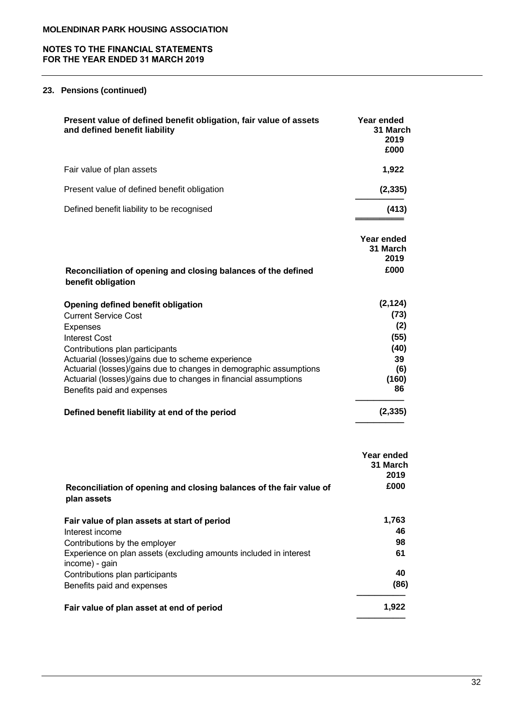# **NOTES TO THE FINANCIAL STATEMENTS FOR THE YEAR ENDED 31 MARCH 2019**

# **23. Pensions (continued)**

| Present value of defined benefit obligation, fair value of assets<br>and defined benefit liability | Year ended<br>31 March<br>2019<br>£000 |
|----------------------------------------------------------------------------------------------------|----------------------------------------|
| Fair value of plan assets                                                                          | 1,922                                  |
| Present value of defined benefit obligation                                                        | (2, 335)                               |
| Defined benefit liability to be recognised                                                         | (413)                                  |

|                                                                                     | Year ended |
|-------------------------------------------------------------------------------------|------------|
|                                                                                     | 31 March   |
|                                                                                     | 2019       |
| Reconciliation of opening and closing balances of the defined<br>benefit obligation | £000       |
|                                                                                     |            |

| Opening defined benefit obligation                                 | (2, 124) |
|--------------------------------------------------------------------|----------|
| <b>Current Service Cost</b>                                        | (73)     |
| <b>Expenses</b>                                                    | (2)      |
| <b>Interest Cost</b>                                               | (55)     |
| Contributions plan participants                                    | (40)     |
| Actuarial (losses)/gains due to scheme experience                  | 39       |
| Actuarial (losses)/gains due to changes in demographic assumptions | (6)      |
| Actuarial (losses)/gains due to changes in financial assumptions   | (160)    |
| Benefits paid and expenses                                         | 86       |
| Defined benefit liability at end of the period                     | (2,335)  |

|                                                                                     | Year ended<br>31 March<br>2019 |
|-------------------------------------------------------------------------------------|--------------------------------|
| Reconciliation of opening and closing balances of the fair value of<br>plan assets  | £000                           |
| Fair value of plan assets at start of period                                        | 1,763                          |
| Interest income                                                                     | 46                             |
| Contributions by the employer                                                       | 98                             |
| Experience on plan assets (excluding amounts included in interest<br>income) - gain | 61                             |
| Contributions plan participants                                                     | 40                             |
| Benefits paid and expenses                                                          | (86)                           |
| Fair value of plan asset at end of period                                           | 1,922                          |

**────────**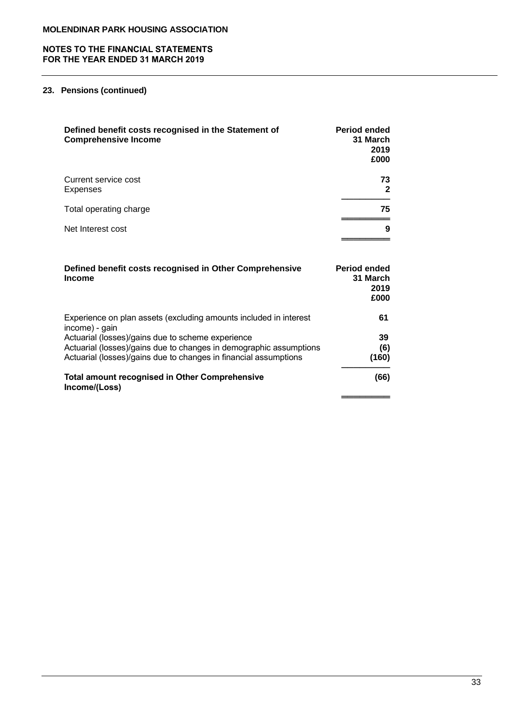# **23. Pensions (continued)**

| Defined benefit costs recognised in the Statement of<br><b>Comprehensive Income</b>                                                       | <b>Period ended</b><br>31 March<br>2019<br>£000 |
|-------------------------------------------------------------------------------------------------------------------------------------------|-------------------------------------------------|
| Current service cost<br>Expenses                                                                                                          | 73<br>$\mathbf{2}$                              |
| Total operating charge                                                                                                                    | 75                                              |
| Net Interest cost                                                                                                                         | 9                                               |
| Defined benefit costs recognised in Other Comprehensive<br><b>Income</b>                                                                  | <b>Period ended</b><br>31 March<br>2019<br>£000 |
| Experience on plan assets (excluding amounts included in interest                                                                         | 61                                              |
| income) - gain<br>Actuarial (losses)/gains due to scheme experience<br>Actuarial (losses)/gains due to changes in demographic assumptions | 39<br>(6)                                       |

Actuarial (losses)/gains due to changes in financial assumptions **(160)**

**────────**

**═════**═══════════

**(66)**

# **Total amount recognised in Other Comprehensive Income/(Loss)**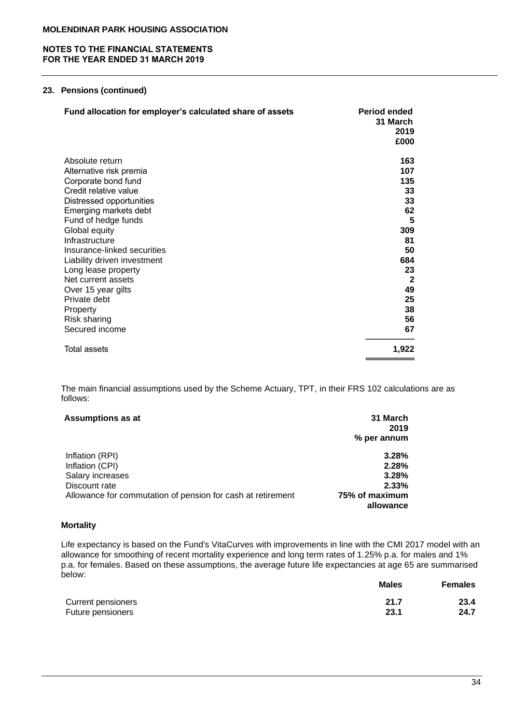# **23. Pensions (continued)**

| Fund allocation for employer's calculated share of assets | <b>Period ended</b><br>31 March<br>2019<br>£000 |
|-----------------------------------------------------------|-------------------------------------------------|
| Absolute return                                           | 163                                             |
| Alternative risk premia                                   | 107                                             |
| Corporate bond fund                                       | 135                                             |
| Credit relative value                                     | 33                                              |
| Distressed opportunities                                  | 33                                              |
| Emerging markets debt                                     | 62                                              |
| Fund of hedge funds                                       | 5                                               |
| Global equity                                             | 309                                             |
| Infrastructure                                            | 81                                              |
| Insurance-linked securities                               | 50                                              |
| Liability driven investment                               | 684                                             |
| Long lease property                                       | 23                                              |
| Net current assets                                        | $\mathbf{2}$                                    |
| Over 15 year gilts                                        | 49                                              |
| Private debt                                              | 25                                              |
| Property                                                  | 38                                              |
| <b>Risk sharing</b>                                       | 56                                              |
| Secured income                                            | 67                                              |
| <b>Total assets</b>                                       | 1,922                                           |

The main financial assumptions used by the Scheme Actuary, TPT, in their FRS 102 calculations are as follows:

| <b>Assumptions as at</b>                                    | 31 March<br>2019 |
|-------------------------------------------------------------|------------------|
|                                                             | % per annum      |
| Inflation (RPI)                                             | 3.28%            |
| Inflation (CPI)                                             | 2.28%            |
| Salary increases                                            | 3.28%            |
| Discount rate                                               | 2.33%            |
| Allowance for commutation of pension for cash at retirement | 75% of maximum   |
|                                                             | allowance        |

# **Mortality**

Life expectancy is based on the Fund's VitaCurves with improvements in line with the CMI 2017 model with an allowance for smoothing of recent mortality experience and long term rates of 1.25% p.a. for males and 1% p.a. for females. Based on these assumptions, the average future life expectancies at age 65 are summarised below:

|                    | <b>Males</b> | <b>Females</b> |
|--------------------|--------------|----------------|
| Current pensioners | 21.7         | 23.4           |
| Future pensioners  | 23.1         | 24.7           |